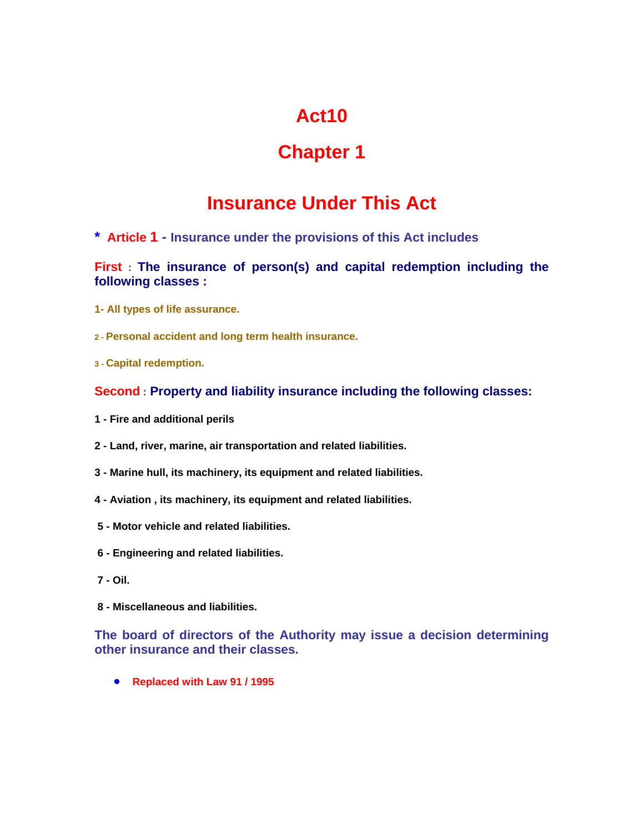# **Act10**

## **Chapter 1**

## **Insurance Under This Act**

**\* Article 1** *-* **Insurance under the provisions of this Act includes**

**First : The insurance of person(s) and capital redemption including the following classes :**

- **1- All types of life assurance.**
- **2 Personal accident and long term health insurance.**
- **3 Capital redemption.**

#### **Second : Property and liability insurance including the following classes:**

- **1 - Fire and additional perils**
- **2 Land, river, marine, air transportation and related liabilities.**
- **3 Marine hull, its machinery, its equipment and related liabilities.**
- **4 Aviation , its machinery, its equipment and related liabilities.**
- **5 Motor vehicle and related liabilities.**
- **6 Engineering and related liabilities.**
- **7 Oil.**
- **8 Miscellaneous and liabilities.**

**The board of directors of the Authority may issue a decision determining other insurance and their classes.**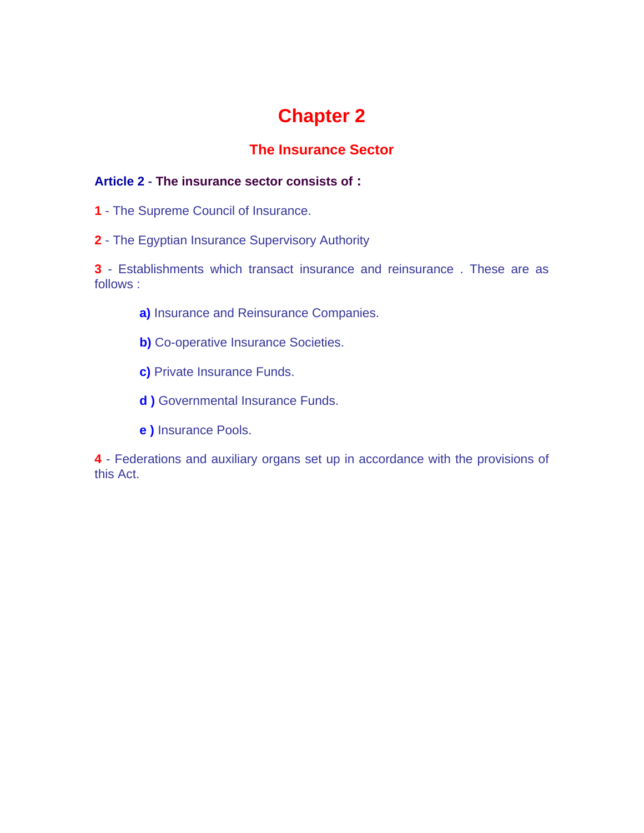### **The Insurance Sector**

### **Article 2 - The insurance sector consists of :**

- **1** The Supreme Council of Insurance.
- **2** The Egyptian Insurance Supervisory Authority

**3** - Establishments which transact insurance and reinsurance . These are as follows :

- **a)** Insurance and Reinsurance Companies.
- **b)** Co-operative Insurance Societies.
- **c)** Private Insurance Funds.
- **d )** Governmental Insurance Funds.
- **e )** Insurance Pools.

**4** - Federations and auxiliary organs set up in accordance with the provisions of this Act.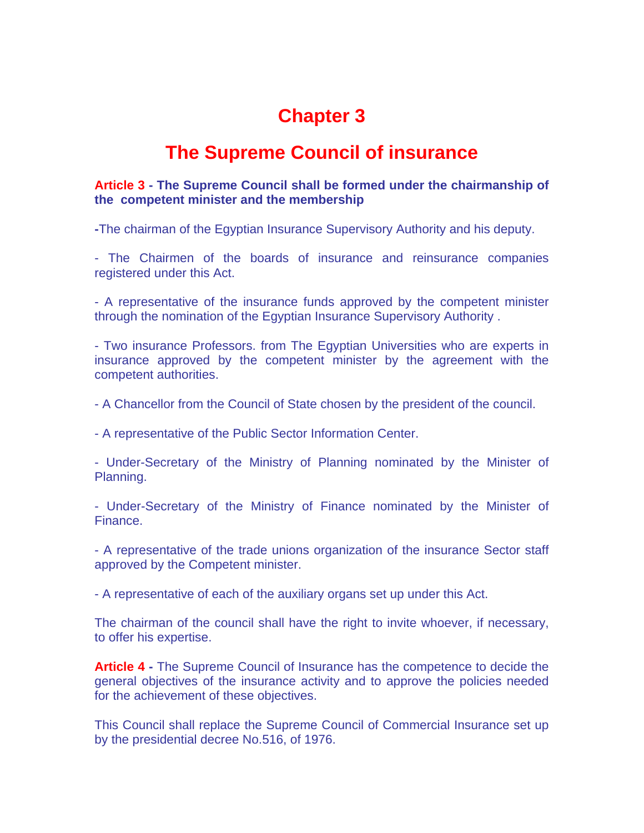### **The Supreme Council of insurance**

### **Article 3 - The Supreme Council shall be formed under the chairmanship of the competent minister and the membership**

**-**The chairman of the Egyptian Insurance Supervisory Authority and his deputy.

- The Chairmen of the boards of insurance and reinsurance companies registered under this Act.

- A representative of the insurance funds approved by the competent minister through the nomination of the Egyptian Insurance Supervisory Authority .

- Two insurance Professors. from The Egyptian Universities who are experts in insurance approved by the competent minister by the agreement with the competent authorities.

- A Chancellor from the Council of State chosen by the president of the council.

- A representative of the Public Sector Information Center.

- Under-Secretary of the Ministry of Planning nominated by the Minister of Planning.

- Under-Secretary of the Ministry of Finance nominated by the Minister of Finance.

- A representative of the trade unions organization of the insurance Sector staff approved by the Competent minister.

- A representative of each of the auxiliary organs set up under this Act.

The chairman of the council shall have the right to invite whoever, if necessary, to offer his expertise.

**Article 4 -** The Supreme Council of Insurance has the competence to decide the general objectives of the insurance activity and to approve the policies needed for the achievement of these objectives.

This Council shall replace the Supreme Council of Commercial Insurance set up by the presidential decree No.516, of 1976.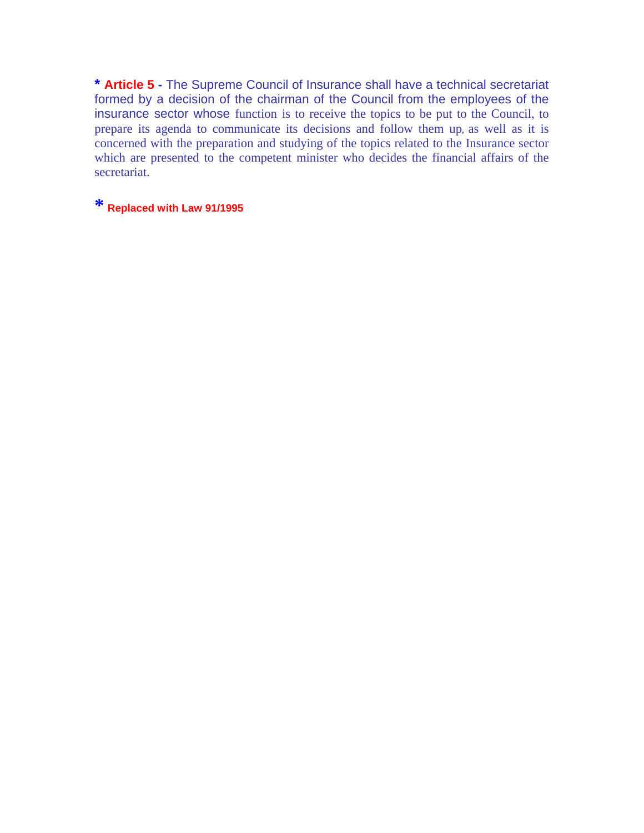**\* Article 5 -** The Supreme Council of Insurance shall have a technical secretariat formed by a decision of the chairman of the Council from the employees of the insurance sector whose function is to receive the topics to be put to the Council, to prepare its agenda to communicate its decisions and follow them up**,** as well as it is concerned with the preparation and studying of the topics related to the Insurance sector which are presented to the competent minister who decides the financial affairs of the secretariat.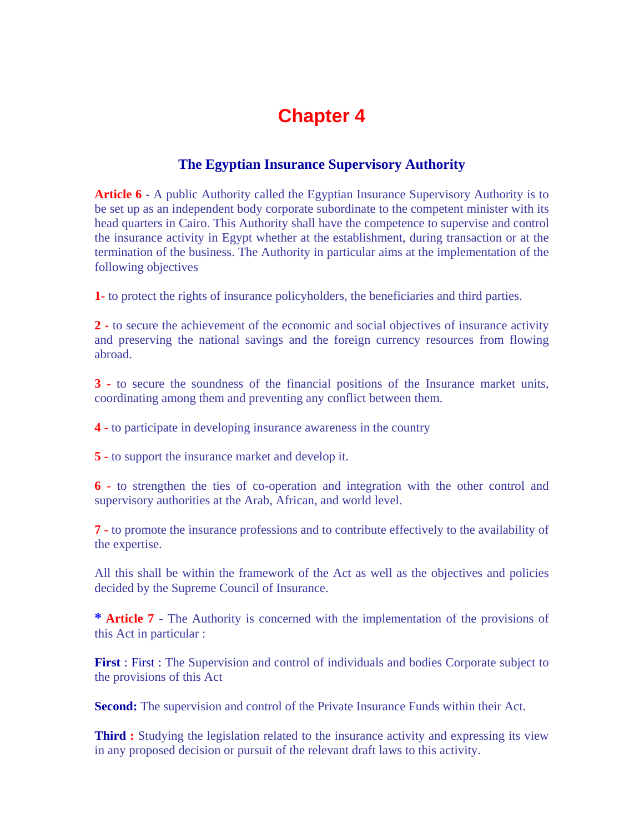### **The Egyptian Insurance Supervisory Authority**

**Article 6 -** A public Authority called the Egyptian Insurance Supervisory Authority is to be set up as an independent body corporate subordinate to the competent minister with its head quarters in Cairo. This Authority shall have the competence to supervise and control the insurance activity in Egypt whether at the establishment, during transaction or at the termination of the business. The Authority in particular aims at the implementation of the following objectives

**1-** to protect the rights of insurance policyholders, the beneficiaries and third parties.

**2 -** to secure the achievement of the economic and social objectives of insurance activity and preserving the national savings and the foreign currency resources from flowing abroad.

**3 -** to secure the soundness of the financial positions of the Insurance market units, coordinating among them and preventing any conflict between them.

**4 -** to participate in developing insurance awareness in the country

**5 -** to support the insurance market and develop it.

**6 -** to strengthen the ties of co-operation and integration with the other control and supervisory authorities at the Arab, African, and world level.

**7 -** to promote the insurance professions and to contribute effectively to the availability of the expertise.

All this shall be within the framework of the Act as well as the objectives and policies decided by the Supreme Council of Insurance.

**\* Article 7** - The Authority is concerned with the implementation of the provisions of this Act in particular :

**First** : First : The Supervision and control of individuals and bodies Corporate subject to the provisions of this Act

**Second:** The supervision and control of the Private Insurance Funds within their Act.

**Third :** Studying the legislation related to the insurance activity and expressing its view in any proposed decision or pursuit of the relevant draft laws to this activity.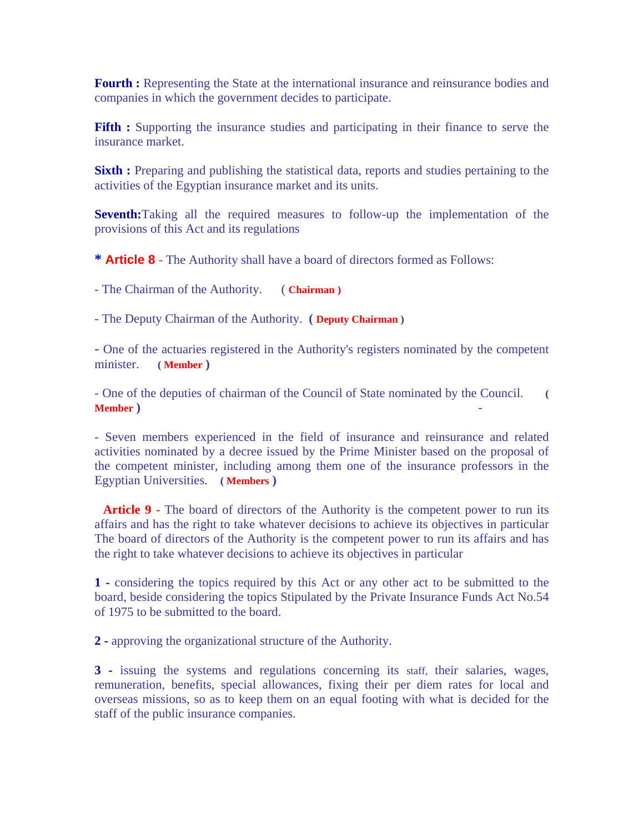**Fourth :** Representing the State at the international insurance and reinsurance bodies and companies in which the government decides to participate.

**Fifth :** Supporting the insurance studies and participating in their finance to serve the insurance market.

**Sixth :** Preparing and publishing the statistical data, reports and studies pertaining to the activities of the Egyptian insurance market and its units.

**Seventh:**Taking all the required measures to follow-up the implementation of the provisions of this Act and its regulations

**\* Article 8** - The Authority shall have a board of directors formed as Follows:

- The Chairman of the Authority. ( **Chairman )**

- The Deputy Chairman of the Authority. **( Deputy Chairman )**

- One of the actuaries registered in the Authority's registers nominated by the competent minister. **( Member )**

- One of the deputies of chairman of the Council of State nominated by the Council. **( Member )** -

- Seven members experienced in the field of insurance and reinsurance and related activities nominated by a decree issued by the Prime Minister based on the proposal of the competent minister, including among them one of the insurance professors in the Egyptian Universities. **( Members )**

**Article 9 -** The board of directors of the Authority is the competent power to run its affairs and has the right to take whatever decisions to achieve its objectives in particular The board of directors of the Authority is the competent power to run its affairs and has the right to take whatever decisions to achieve its objectives in particular

**1 -** considering the topics required by this Act or any other act to be submitted to the board, beside considering the topics Stipulated by the Private Insurance Funds Act No.54 of 1975 to be submitted to the board.

**2 -** approving the organizational structure of the Authority.

**3 -** issuing the systems and regulations concerning its staff, their salaries, wages, remuneration, benefits, special allowances, fixing their per diem rates for local and overseas missions, so as to keep them on an equal footing with what is decided for the staff of the public insurance companies.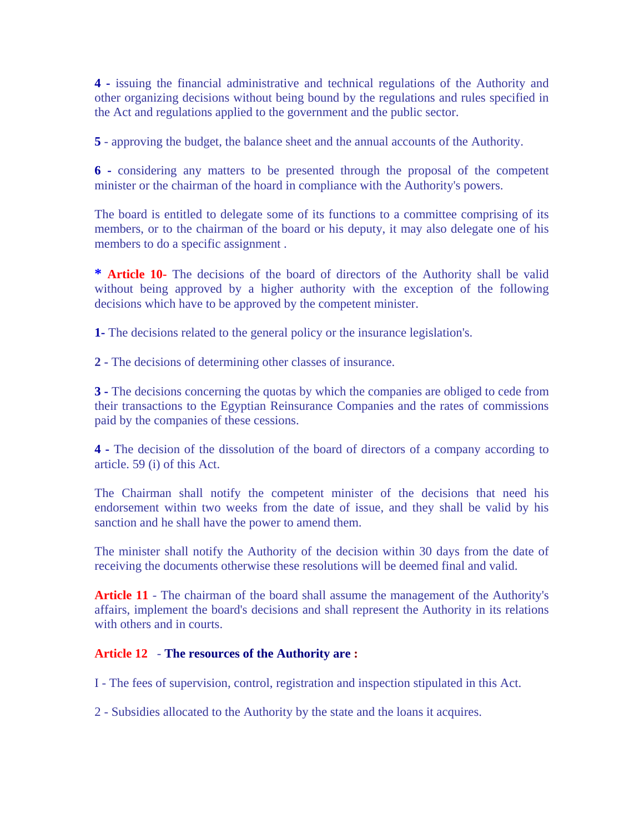**4 -** issuing the financial administrative and technical regulations of the Authority and other organizing decisions without being bound by the regulations and rules specified in the Act and regulations applied to the government and the public sector.

**5** - approving the budget, the balance sheet and the annual accounts of the Authority.

**6 -** considering any matters to be presented through the proposal of the competent minister or the chairman of the hoard in compliance with the Authority's powers.

The board is entitled to delegate some of its functions to a committee comprising of its members, or to the chairman of the board or his deputy, it may also delegate one of his members to do a specific assignment .

**\* Article 10-** The decisions of the board of directors of the Authority shall be valid without being approved by a higher authority with the exception of the following decisions which have to be approved by the competent minister.

**1-** The decisions related to the general policy or the insurance legislation's.

**2 -** The decisions of determining other classes of insurance.

**3 -** The decisions concerning the quotas by which the companies are obliged to cede from their transactions to the Egyptian Reinsurance Companies and the rates of commissions paid by the companies of these cessions.

**4 -** The decision of the dissolution of the board of directors of a company according to article. 59 (i) of this Act.

The Chairman shall notify the competent minister of the decisions that need his endorsement within two weeks from the date of issue, and they shall be valid by his sanction and he shall have the power to amend them.

The minister shall notify the Authority of the decision within 30 days from the date of receiving the documents otherwise these resolutions will be deemed final and valid.

Article 11 - The chairman of the board shall assume the management of the Authority's affairs, implement the board's decisions and shall represent the Authority in its relations with others and in courts.

#### **Article 12** - **The resources of the Authority are :**

I - The fees of supervision, control, registration and inspection stipulated in this Act.

2 - Subsidies allocated to the Authority by the state and the loans it acquires.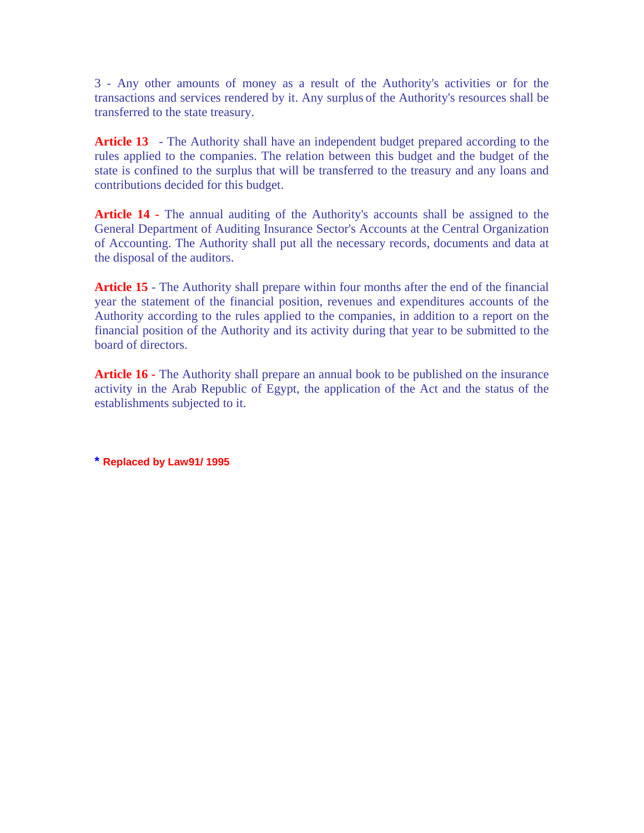3 - Any other amounts of money as a result of the Authority's activities or for the transactions and services rendered by it. Any surplus of the Authority's resources shall be transferred to the state treasury.

**Article 13** - The Authority shall have an independent budget prepared according to the rules applied to the companies. The relation between this budget and the budget of the state is confined to the surplus that will be transferred to the treasury and any loans and contributions decided for this budget.

**Article 14 -** The annual auditing of the Authority's accounts shall be assigned to the General Department of Auditing Insurance Sector's Accounts at the Central Organization of Accounting. The Authority shall put all the necessary records, documents and data at the disposal of the auditors.

**Article 15** - The Authority shall prepare within four months after the end of the financial year the statement of the financial position, revenues and expenditures accounts of the Authority according to the rules applied to the companies, in addition to a report on the financial position of the Authority and its activity during that year to be submitted to the board of directors.

**Article 16 -** The Authority shall prepare an annual book to be published on the insurance activity in the Arab Republic of Egypt, the application of the Act and the status of the establishments subjected to it.

**\* Replaced by Law91/ 1995**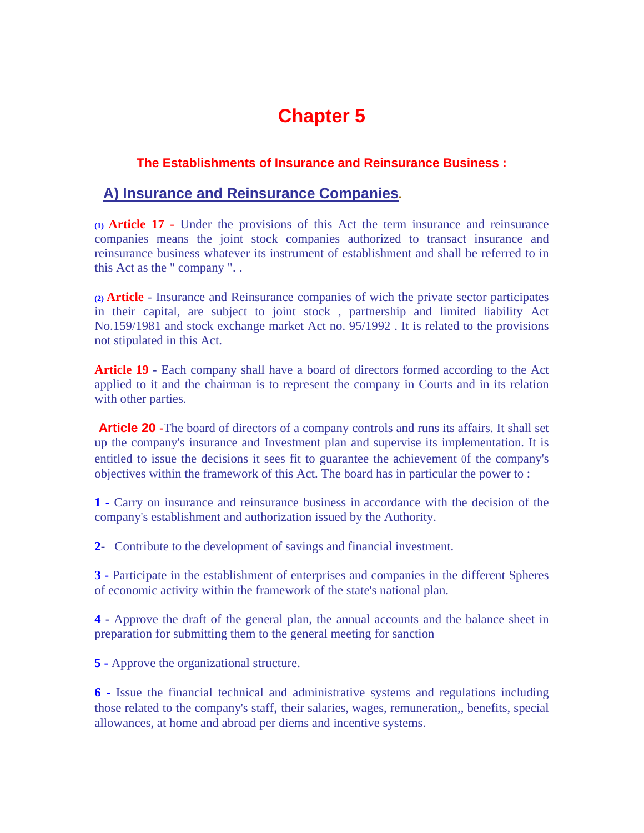### **The Establishments of Insurance and Reinsurance Business :**

### **A) Insurance and Reinsurance Companies.**

**(1) Article 17 -** Under the provisions of this Act the term insurance and reinsurance companies means the joint stock companies authorized to transact insurance and reinsurance business whatever its instrument of establishment and shall be referred to in this Act as the " company ". .

**(2) Article** - Insurance and Reinsurance companies of wich the private sector participates in their capital, are subject to joint stock , partnership and limited liability Act No.159/1981 and stock exchange market Act no. 95/1992 . It is related to the provisions not stipulated in this Act.

Article 19 - Each company shall have a board of directors formed according to the Act applied to it and the chairman is to represent the company in Courts and in its relation with other parties.

 **Article 20 -**The board of directors of a company controls and runs its affairs. It shall set up the company's insurance and Investment plan and supervise its implementation. It is entitled to issue the decisions it sees fit to guarantee the achievement 0f the company's objectives within the framework of this Act. The board has in particular the power to :

**1 -** Carry on insurance and reinsurance business in accordance with the decision of the company's establishment and authorization issued by the Authority.

**2-** Contribute to the development of savings and financial investment.

**3 -** Participate in the establishment of enterprises and companies in the different Spheres of economic activity within the framework of the state's national plan.

**4 -** Approve the draft of the general plan, the annual accounts and the balance sheet in preparation for submitting them to the general meeting for sanction

**5 -** Approve the organizational structure.

**6 -** Issue the financial technical and administrative systems and regulations including those related to the company's staff, their salaries, wages, remuneration,, benefits, special allowances, at home and abroad per diems and incentive systems.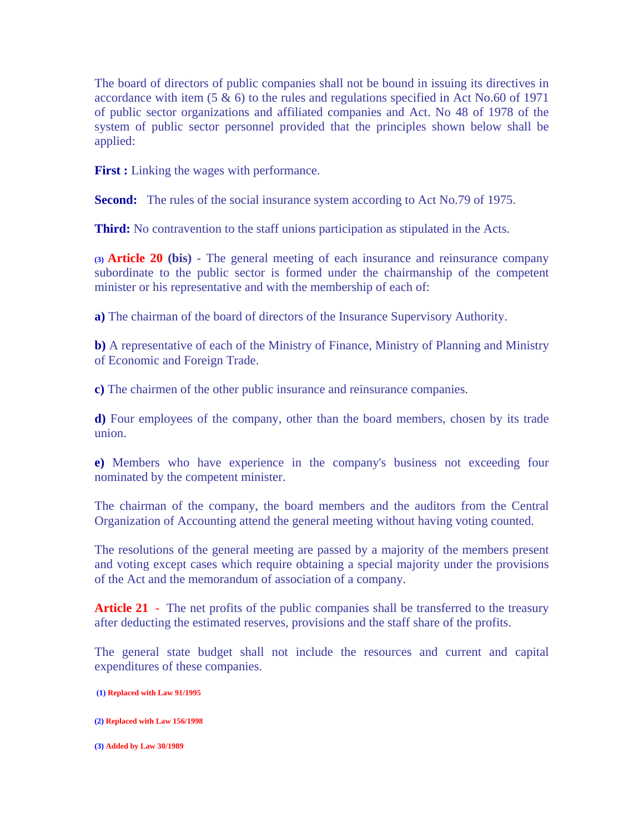The board of directors of public companies shall not be bound in issuing its directives in accordance with item  $(5 \& 6)$  to the rules and regulations specified in Act No.60 of 1971 of public sector organizations and affiliated companies and Act. No 48 of 1978 of the system of public sector personnel provided that the principles shown below shall be applied:

**First :** Linking the wages with performance.

**Second:** The rules of the social insurance system according to Act No.79 of 1975.

**Third:** No contravention to the staff unions participation as stipulated in the Acts.

**(3) Article 20 (bis)** - The general meeting of each insurance and reinsurance company subordinate to the public sector is formed under the chairmanship of the competent minister or his representative and with the membership of each of:

**a)** The chairman of the board of directors of the Insurance Supervisory Authority.

**b)** A representative of each of the Ministry of Finance, Ministry of Planning and Ministry of Economic and Foreign Trade.

**c)** The chairmen of the other public insurance and reinsurance companies.

**d)** Four employees of the company, other than the board members, chosen by its trade union.

**e)** Members who have experience in the company's business not exceeding four nominated by the competent minister.

The chairman of the company, the board members and the auditors from the Central Organization of Accounting attend the general meeting without having voting counted.

The resolutions of the general meeting are passed by a majority of the members present and voting except cases which require obtaining a special majority under the provisions of the Act and the memorandum of association of a company.

**Article 21** - The net profits of the public companies shall be transferred to the treasury after deducting the estimated reserves, provisions and the staff share of the profits.

The general state budget shall not include the resources and current and capital expenditures of these companies.

 **(1) Replaced with Law 91/1995**

**(2) Replaced with Law 156/1998**

**(3) Added by Law 30/1989**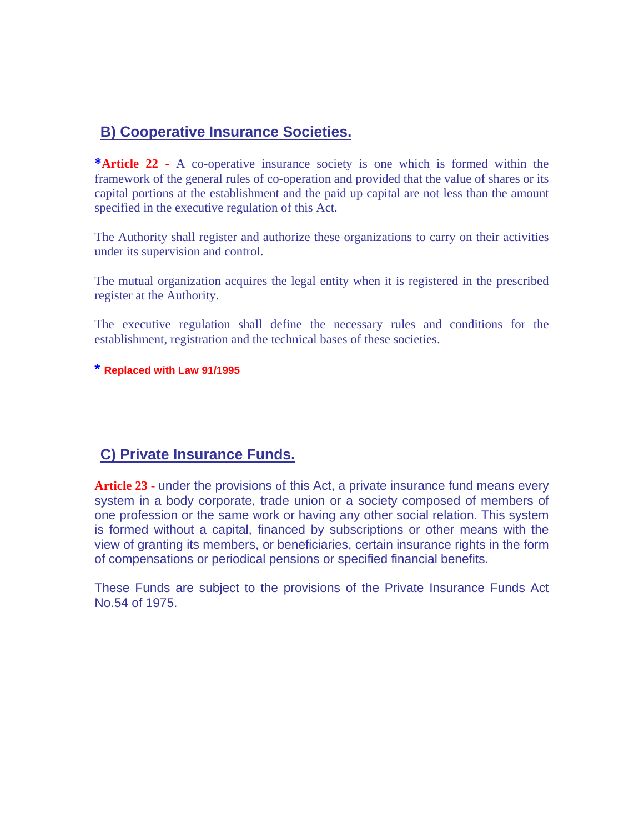### **B) Cooperative Insurance Societies.**

**\*Article 22 -** A co-operative insurance society is one which is formed within the framework of the general rules of co-operation and provided that the value of shares or its capital portions at the establishment and the paid up capital are not less than the amount specified in the executive regulation of this Act.

The Authority shall register and authorize these organizations to carry on their activities under its supervision and control.

The mutual organization acquires the legal entity when it is registered in the prescribed register at the Authority.

The executive regulation shall define the necessary rules and conditions for the establishment, registration and the technical bases of these societies.

### **\* Replaced with Law 91/1995**

### **C) Private Insurance Funds.**

**Article 23** - under the provisions of this Act, a private insurance fund means every system in a body corporate, trade union or a society composed of members of one profession or the same work or having any other social relation. This system is formed without a capital, financed by subscriptions or other means with the view of granting its members, or beneficiaries, certain insurance rights in the form of compensations or periodical pensions or specified financial benefits.

These Funds are subject to the provisions of the Private Insurance Funds Act No.54 of 1975.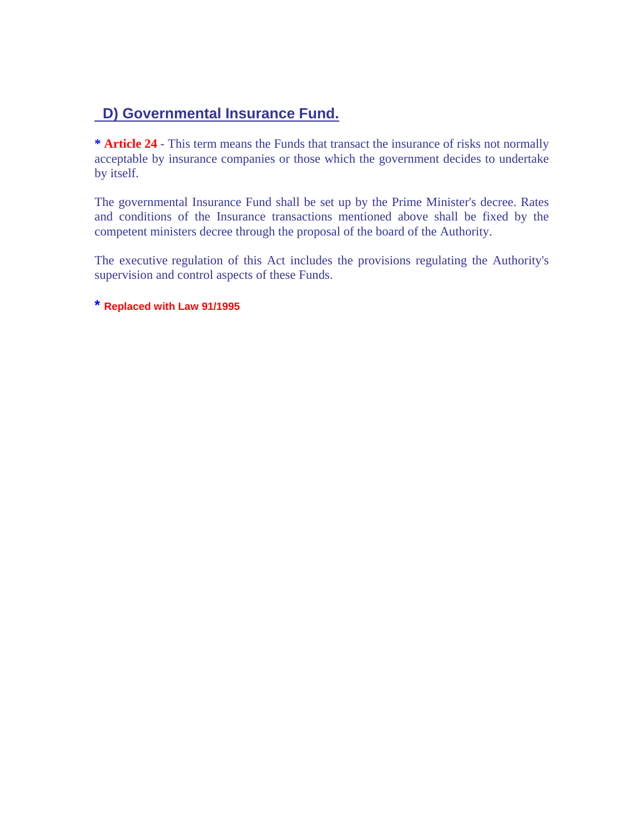### **D) Governmental Insurance Fund.**

**\* Article 24** - This term means the Funds that transact the insurance of risks not normally acceptable by insurance companies or those which the government decides to undertake by itself.

The governmental Insurance Fund shall be set up by the Prime Minister's decree. Rates and conditions of the Insurance transactions mentioned above shall be fixed by the competent ministers decree through the proposal of the board of the Authority.

The executive regulation of this Act includes the provisions regulating the Authority's supervision and control aspects of these Funds.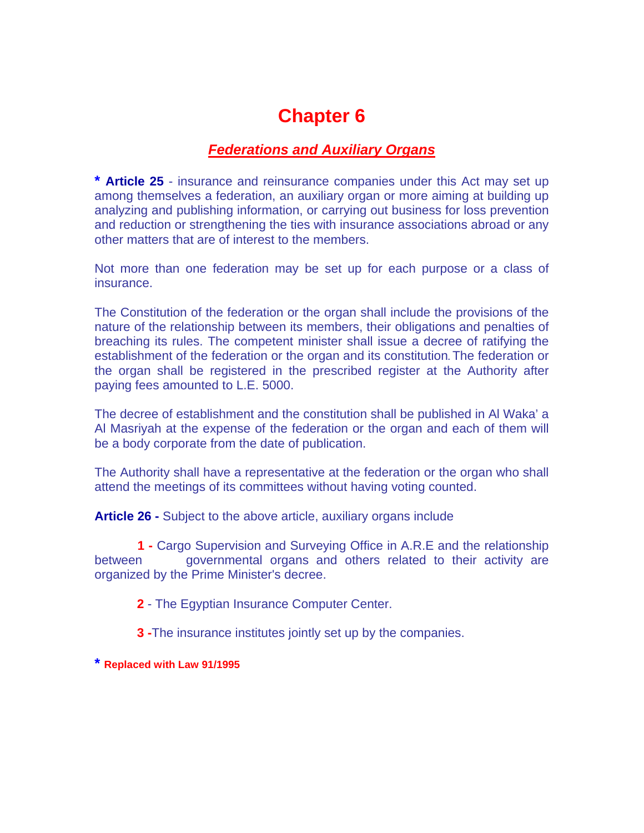### *Federations and Auxiliary Organs*

**\* Article 25** - insurance and reinsurance companies under this Act may set up among themselves a federation, an auxiliary organ or more aiming at building up analyzing and publishing information, or carrying out business for loss prevention and reduction or strengthening the ties with insurance associations abroad or any other matters that are of interest to the members.

Not more than one federation may be set up for each purpose or a class of insurance.

The Constitution of the federation or the organ shall include the provisions of the nature of the relationship between its members, their obligations and penalties of breaching its rules. The competent minister shall issue a decree of ratifying the establishment of the federation or the organ and its constitution**.** The federation or the organ shall be registered in the prescribed register at the Authority after paying fees amounted to L.E. 5000.

The decree of establishment and the constitution shall be published in Al Waka' a Al Masriyah at the expense of the federation or the organ and each of them will be a body corporate from the date of publication.

The Authority shall have a representative at the federation or the organ who shall attend the meetings of its committees without having voting counted.

**Article 26 -** Subject to the above article, auxiliary organs include

 **1 -** Cargo Supervision and Surveying Office in A.R.E and the relationship between governmental organs and others related to their activity are organized by the Prime Minister's decree.

**2** - The Egyptian Insurance Computer Center.

**3 -**The insurance institutes jointly set up by the companies.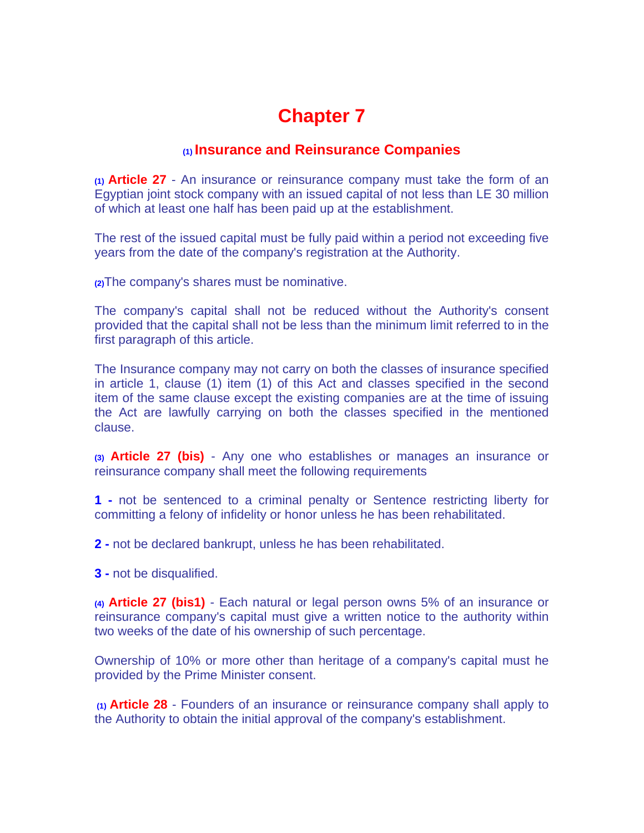### **(1) Insurance and Reinsurance Companies**

**(1) Article 27** - An insurance or reinsurance company must take the form of an Egyptian joint stock company with an issued capital of not less than LE 30 million of which at least one half has been paid up at the establishment.

The rest of the issued capital must be fully paid within a period not exceeding five years from the date of the company's registration at the Authority.

**(2)**The company's shares must be nominative.

The company's capital shall not be reduced without the Authority's consent provided that the capital shall not be less than the minimum limit referred to in the first paragraph of this article.

The Insurance company may not carry on both the classes of insurance specified in article 1, clause (1) item (1) of this Act and classes specified in the second item of the same clause except the existing companies are at the time of issuing the Act are lawfully carrying on both the classes specified in the mentioned clause.

**(3) Article 27 (bis)** - Any one who establishes or manages an insurance or reinsurance company shall meet the following requirements

**1 -** not be sentenced to a criminal penalty or Sentence restricting liberty for committing a felony of infidelity or honor unless he has been rehabilitated.

**2 -** not be declared bankrupt, unless he has been rehabilitated.

**3 -** not be disqualified.

**(4) Article 27 (bis1)** - Each natural or legal person owns 5% of an insurance or reinsurance company's capital must give a written notice to the authority within two weeks of the date of his ownership of such percentage.

Ownership of 10% or more other than heritage of a company's capital must he provided by the Prime Minister consent.

 **(1) Article 28** - Founders of an insurance or reinsurance company shall apply to the Authority to obtain the initial approval of the company's establishment.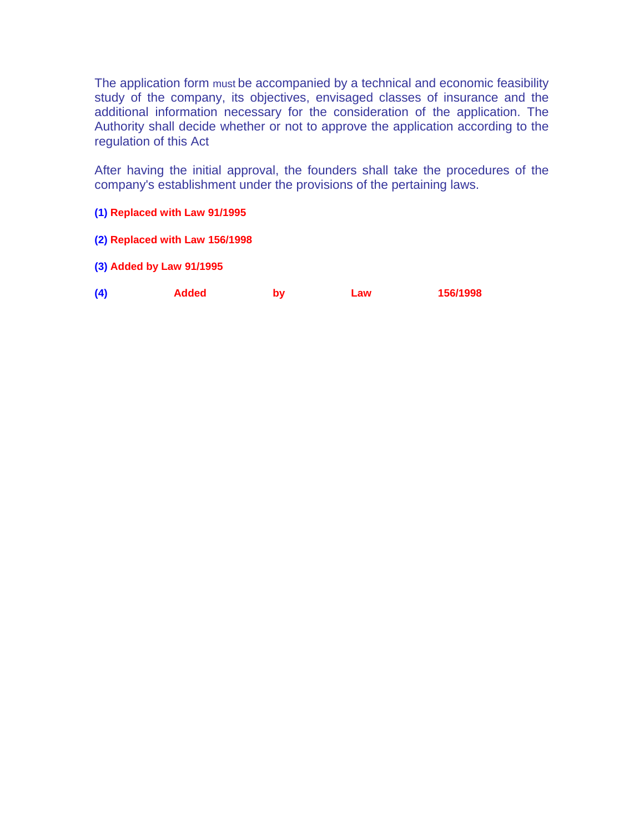The application form must be accompanied by a technical and economic feasibility study of the company, its objectives, envisaged classes of insurance and the additional information necessary for the consideration of the application. The Authority shall decide whether or not to approve the application according to the regulation of this Act

After having the initial approval, the founders shall take the procedures of the company's establishment under the provisions of the pertaining laws.

- **(1) Replaced with Law 91/1995**
- **(2) Replaced with Law 156/1998**
- **(3) Added by Law 91/1995**

| (4) | Added | bv | Law | 156/1998 |
|-----|-------|----|-----|----------|
|     |       |    |     |          |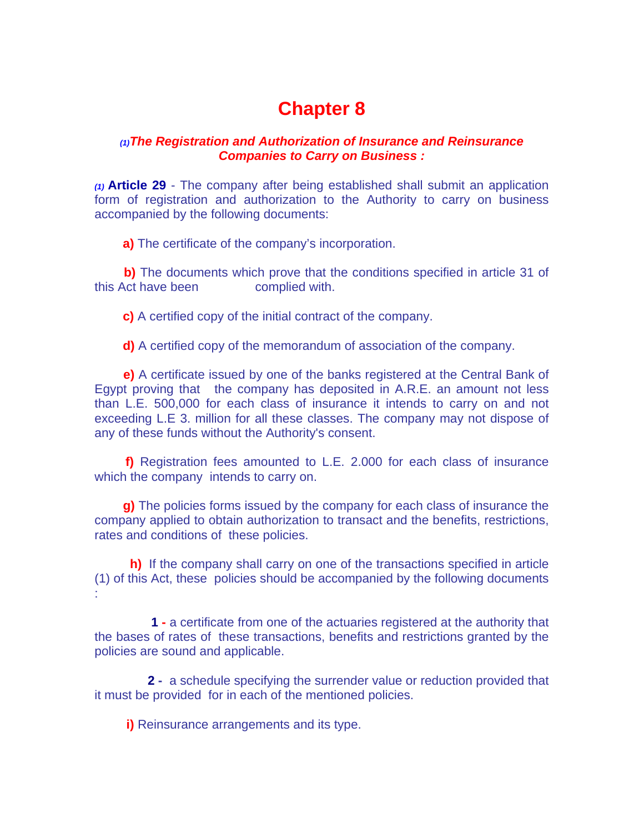### *(1)The Registration and Authorization of Insurance and Reinsurance Companies to Carry on Business :*

*(1)* **Article 29** - The company after being established shall submit an application form of registration and authorization to the Authority to carry on business accompanied by the following documents:

**a)** The certificate of the company's incorporation.

**b)** The documents which prove that the conditions specified in article 31 of this Act have been complied with.

**c)** A certified copy of the initial contract of the company.

**d)** A certified copy of the memorandum of association of the company.

 **e)** A certificate issued by one of the banks registered at the Central Bank of Egypt proving that the company has deposited in A.R.E. an amount not less than L.E. 500,000 for each class of insurance it intends to carry on and not exceeding L.E 3. million for all these classes. The company may not dispose of any of these funds without the Authority's consent.

 **f)** Registration fees amounted to L.E. 2.000 for each class of insurance which the company intends to carry on.

 **g)** The policies forms issued by the company for each class of insurance the company applied to obtain authorization to transact and the benefits, restrictions, rates and conditions of these policies.

 **h)** If the company shall carry on one of the transactions specified in article (1) of this Act, these policies should be accompanied by the following documents :

 **1 -** a certificate from one of the actuaries registered at the authority that the bases of rates of these transactions, benefits and restrictions granted by the policies are sound and applicable.

 **2 -** a schedule specifying the surrender value or reduction provided that it must be provided for in each of the mentioned policies.

**i)** Reinsurance arrangements and its type.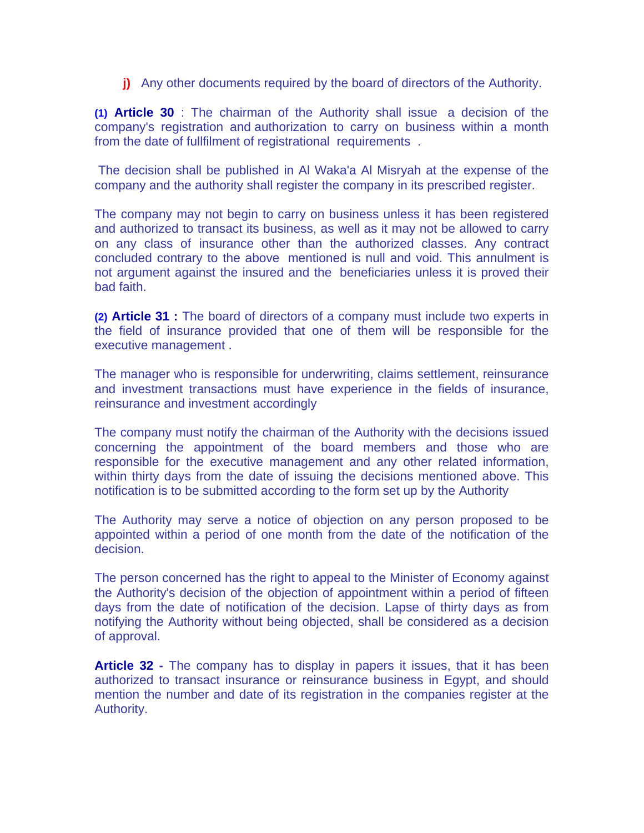**j)** Any other documents required by the board of directors of the Authority.

**(1) Article 30** : The chairman of the Authority shall issue a decision of the company's registration and authorization to carry on business within a month from the date of fullfilment of registrational requirements .

 The decision shall be published in Al Waka'a Al Misryah at the expense of the company and the authority shall register the company in its prescribed register.

The company may not begin to carry on business unless it has been registered and authorized to transact its business, as well as it may not be allowed to carry on any class of insurance other than the authorized classes. Any contract concluded contrary to the above mentioned is null and void. This annulment is not argument against the insured and the beneficiaries unless it is proved their bad faith.

**(2) Article 31 :** The board of directors of a company must include two experts in the field of insurance provided that one of them will be responsible for the executive management .

The manager who is responsible for underwriting, claims settlement, reinsurance and investment transactions must have experience in the fields of insurance, reinsurance and investment accordingly

The company must notify the chairman of the Authority with the decisions issued concerning the appointment of the board members and those who are responsible for the executive management and any other related information, within thirty days from the date of issuing the decisions mentioned above. This notification is to be submitted according to the form set up by the Authority

The Authority may serve a notice of objection on any person proposed to be appointed within a period of one month from the date of the notification of the decision.

The person concerned has the right to appeal to the Minister of Economy against the Authority's decision of the objection of appointment within a period of fifteen days from the date of notification of the decision. Lapse of thirty days as from notifying the Authority without being objected, shall be considered as a decision of approval.

**Article 32 -** The company has to display in papers it issues, that it has been authorized to transact insurance or reinsurance business in Egypt, and should mention the number and date of its registration in the companies register at the Authority.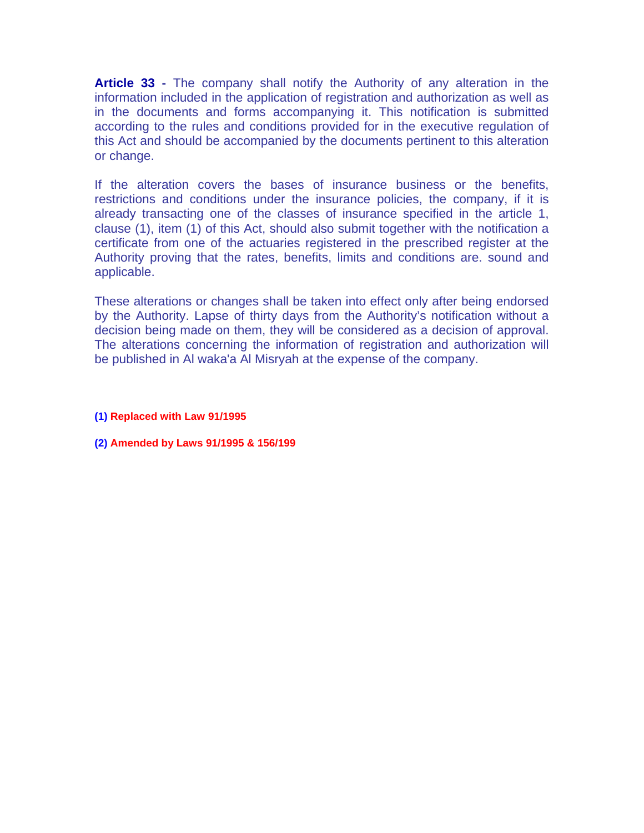**Article 33 -** The company shall notify the Authority of any alteration in the information included in the application of registration and authorization as well as in the documents and forms accompanying it. This notification is submitted according to the rules and conditions provided for in the executive regulation of this Act and should be accompanied by the documents pertinent to this alteration or change.

If the alteration covers the bases of insurance business or the benefits, restrictions and conditions under the insurance policies, the company, if it is already transacting one of the classes of insurance specified in the article 1, clause (1), item (1) of this Act, should also submit together with the notification a certificate from one of the actuaries registered in the prescribed register at the Authority proving that the rates, benefits, limits and conditions are. sound and applicable.

These alterations or changes shall be taken into effect only after being endorsed by the Authority. Lapse of thirty days from the Authority's notification without a decision being made on them, they will be considered as a decision of approval. The alterations concerning the information of registration and authorization will be published in Al waka'a Al Misryah at the expense of the company.

- **(1) Replaced with Law 91/1995**
- **(2) Amended by Laws 91/1995 & 156/199**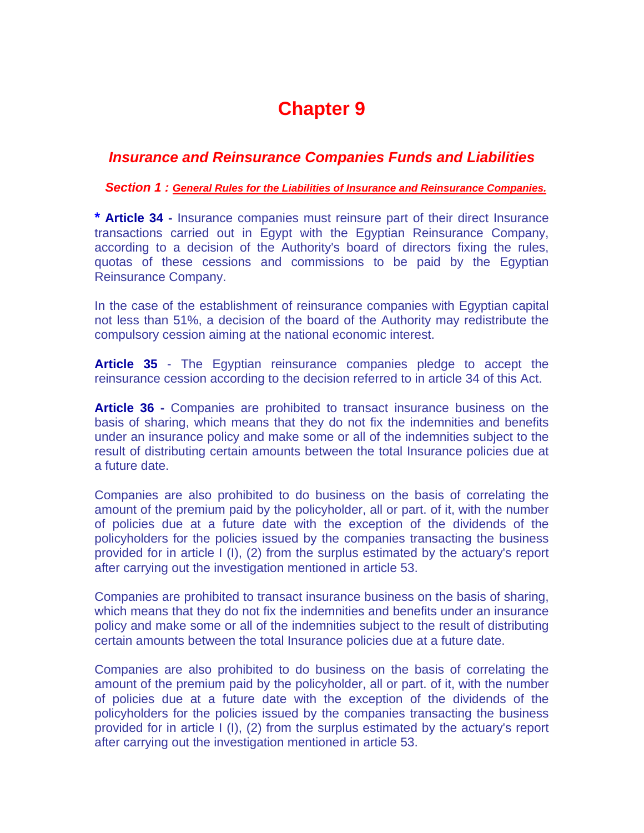### *Insurance and Reinsurance Companies Funds and Liabilities*

 *Section 1 : General Rules for the Liabilities of Insurance and Reinsurance Companies.*

**\* Article 34 -** Insurance companies must reinsure part of their direct Insurance transactions carried out in Egypt with the Egyptian Reinsurance Company, according to a decision of the Authority's board of directors fixing the rules, quotas of these cessions and commissions to be paid by the Egyptian Reinsurance Company.

In the case of the establishment of reinsurance companies with Egyptian capital not less than 51%, a decision of the board of the Authority may redistribute the compulsory cession aiming at the national economic interest.

**Article 35** - The Egyptian reinsurance companies pledge to accept the reinsurance cession according to the decision referred to in article 34 of this Act.

**Article 36 -** Companies are prohibited to transact insurance business on the basis of sharing, which means that they do not fix the indemnities and benefits under an insurance policy and make some or all of the indemnities subject to the result of distributing certain amounts between the total Insurance policies due at a future date.

Companies are also prohibited to do business on the basis of correlating the amount of the premium paid by the policyholder, all or part. of it, with the number of policies due at a future date with the exception of the dividends of the policyholders for the policies issued by the companies transacting the business provided for in article I (I), (2) from the surplus estimated by the actuary's report after carrying out the investigation mentioned in article 53.

Companies are prohibited to transact insurance business on the basis of sharing, which means that they do not fix the indemnities and benefits under an insurance policy and make some or all of the indemnities subject to the result of distributing certain amounts between the total Insurance policies due at a future date.

Companies are also prohibited to do business on the basis of correlating the amount of the premium paid by the policyholder, all or part. of it, with the number of policies due at a future date with the exception of the dividends of the policyholders for the policies issued by the companies transacting the business provided for in article I (I), (2) from the surplus estimated by the actuary's report after carrying out the investigation mentioned in article 53.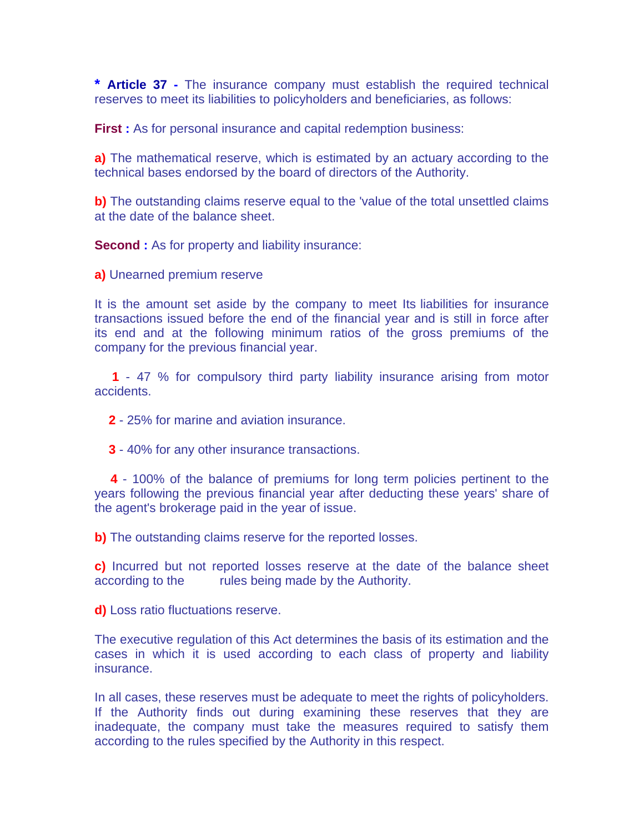**\* Article 37 -** The insurance company must establish the required technical reserves to meet its liabilities to policyholders and beneficiaries, as follows:

**First :** As for personal insurance and capital redemption business:

**a)** The mathematical reserve, which is estimated by an actuary according to the technical bases endorsed by the board of directors of the Authority.

**b)** The outstanding claims reserve equal to the 'value of the total unsettled claims at the date of the balance sheet.

**Second :** As for property and liability insurance:

**a)** Unearned premium reserve

It is the amount set aside by the company to meet Its liabilities for insurance transactions issued before the end of the financial year and is still in force after its end and at the following minimum ratios of the gross premiums of the company for the previous financial year.

 **1** - 47 % for compulsory third party liability insurance arising from motor accidents.

 **2** - 25% for marine and aviation insurance.

 **3** - 40% for any other insurance transactions.

 **4** - 100% of the balance of premiums for long term policies pertinent to the years following the previous financial year after deducting these years' share of the agent's brokerage paid in the year of issue.

**b)** The outstanding claims reserve for the reported losses.

**c)** Incurred but not reported losses reserve at the date of the balance sheet according to the rules being made by the Authority.

**d)** Loss ratio fluctuations reserve.

The executive regulation of this Act determines the basis of its estimation and the cases in which it is used according to each class of property and liability insurance.

In all cases, these reserves must be adequate to meet the rights of policyholders. If the Authority finds out during examining these reserves that they are inadequate, the company must take the measures required to satisfy them according to the rules specified by the Authority in this respect.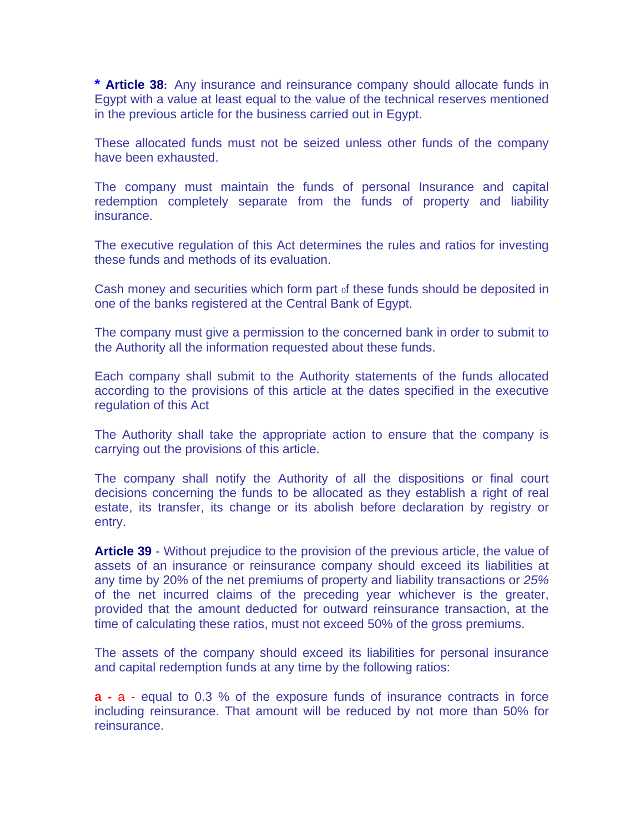**\* Article 38:** Any insurance and reinsurance company should allocate funds in Egypt with a value at least equal to the value of the technical reserves mentioned in the previous article for the business carried out in Egypt.

These allocated funds must not be seized unless other funds of the company have been exhausted.

The company must maintain the funds of personal Insurance and capital redemption completely separate from the funds of property and liability insurance.

The executive regulation of this Act determines the rules and ratios for investing these funds and methods of its evaluation.

Cash money and securities which form part of these funds should be deposited in one of the banks registered at the Central Bank of Egypt.

The company must give a permission to the concerned bank in order to submit to the Authority all the information requested about these funds.

Each company shall submit to the Authority statements of the funds allocated according to the provisions of this article at the dates specified in the executive regulation of this Act

The Authority shall take the appropriate action to ensure that the company is carrying out the provisions of this article.

The company shall notify the Authority of all the dispositions or final court decisions concerning the funds to be allocated as they establish a right of real estate, its transfer, its change or its abolish before declaration by registry or entry.

**Article 39** - Without prejudice to the provision of the previous article, the value of assets of an insurance or reinsurance company should exceed its liabilities at any time by 20% of the net premiums of property and liability transactions or *25%*  of the net incurred claims of the preceding year whichever is the greater, provided that the amount deducted for outward reinsurance transaction, at the time of calculating these ratios, must not exceed 50% of the gross premiums.

The assets of the company should exceed its liabilities for personal insurance and capital redemption funds at any time by the following ratios:

**a -** a - equal to 0.3 % of the exposure funds of insurance contracts in force including reinsurance. That amount will be reduced by not more than 50% for reinsurance.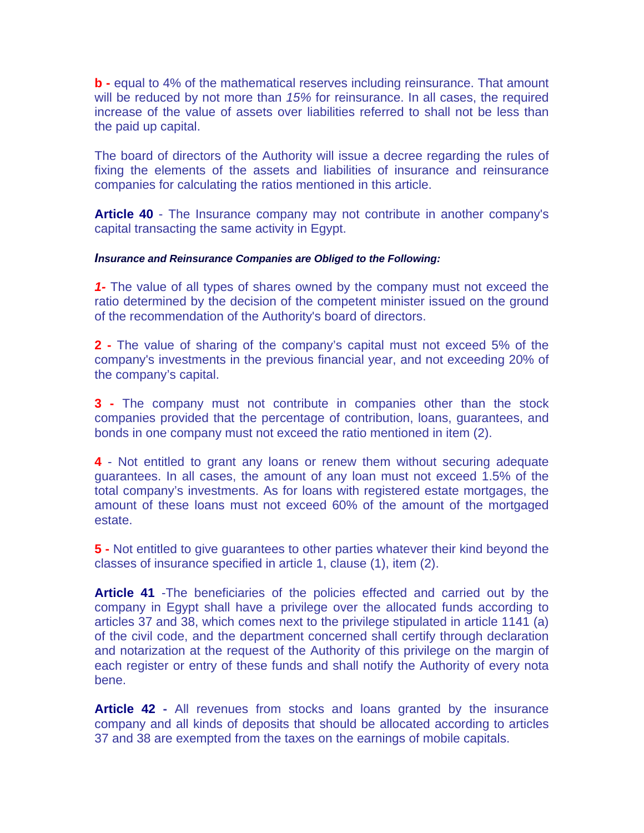**b -** equal to 4% of the mathematical reserves including reinsurance. That amount will be reduced by not more than *15%* for reinsurance. In all cases, the required increase of the value of assets over liabilities referred to shall not be less than the paid up capital.

The board of directors of the Authority will issue a decree regarding the rules of fixing the elements of the assets and liabilities of insurance and reinsurance companies for calculating the ratios mentioned in this article.

**Article 40** - The Insurance company may not contribute in another company's capital transacting the same activity in Egypt.

#### *Insurance and Reinsurance Companies are Obliged to the Following:*

*1-* The value of all types of shares owned by the company must not exceed the ratio determined by the decision of the competent minister issued on the ground of the recommendation of the Authority's board of directors.

**2 -** The value of sharing of the company's capital must not exceed 5% of the company's investments in the previous financial year, and not exceeding 20% of the company's capital.

**3 -** The company must not contribute in companies other than the stock companies provided that the percentage of contribution, loans, guarantees, and bonds in one company must not exceed the ratio mentioned in item (2).

**4** - Not entitled to grant any loans or renew them without securing adequate guarantees. In all cases, the amount of any loan must not exceed 1.5% of the total company's investments. As for loans with registered estate mortgages, the amount of these loans must not exceed 60% of the amount of the mortgaged estate.

**5 -** Not entitled to give guarantees to other parties whatever their kind beyond the classes of insurance specified in article 1, clause (1), item (2).

**Article 41** -The beneficiaries of the policies effected and carried out by the company in Egypt shall have a privilege over the allocated funds according to articles 37 and 38, which comes next to the privilege stipulated in article 1141 (a) of the civil code, and the department concerned shall certify through declaration and notarization at the request of the Authority of this privilege on the margin of each register or entry of these funds and shall notify the Authority of every nota bene.

**Article 42 -** All revenues from stocks and loans granted by the insurance company and all kinds of deposits that should be allocated according to articles 37 and 38 are exempted from the taxes on the earnings of mobile capitals.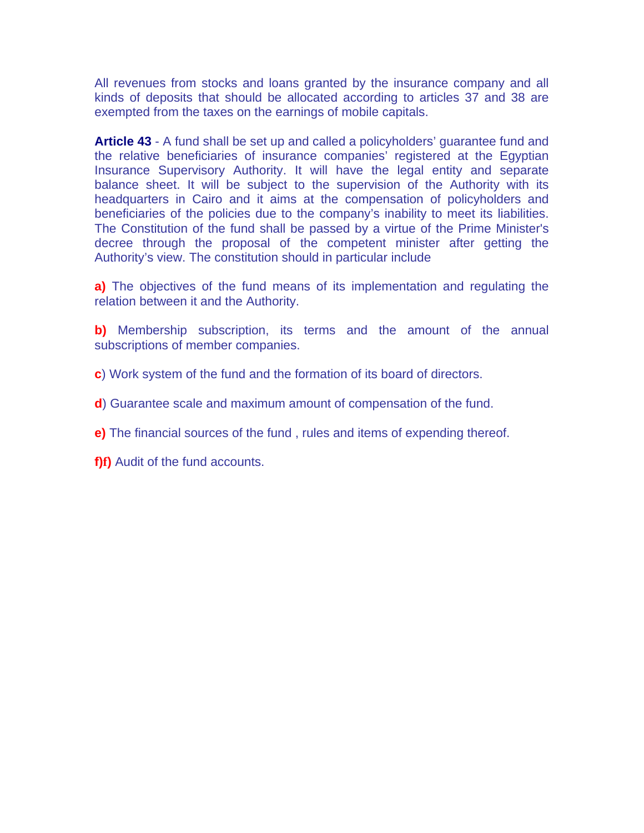All revenues from stocks and loans granted by the insurance company and all kinds of deposits that should be allocated according to articles 37 and 38 are exempted from the taxes on the earnings of mobile capitals.

**Article 43** - A fund shall be set up and called a policyholders' guarantee fund and the relative beneficiaries of insurance companies' registered at the Egyptian Insurance Supervisory Authority. It will have the legal entity and separate balance sheet. It will be subject to the supervision of the Authority with its headquarters in Cairo and it aims at the compensation of policyholders and beneficiaries of the policies due to the company's inability to meet its liabilities. The Constitution of the fund shall be passed by a virtue of the Prime Minister's decree through the proposal of the competent minister after getting the Authority's view. The constitution should in particular include

**a)** The objectives of the fund means of its implementation and regulating the relation between it and the Authority.

**b)** Membership subscription, its terms and the amount of the annual subscriptions of member companies.

- **c**) Work system of the fund and the formation of its board of directors.
- **d**) Guarantee scale and maximum amount of compensation of the fund.
- **e)** The financial sources of the fund , rules and items of expending thereof.
- **f)f)** Audit of the fund accounts.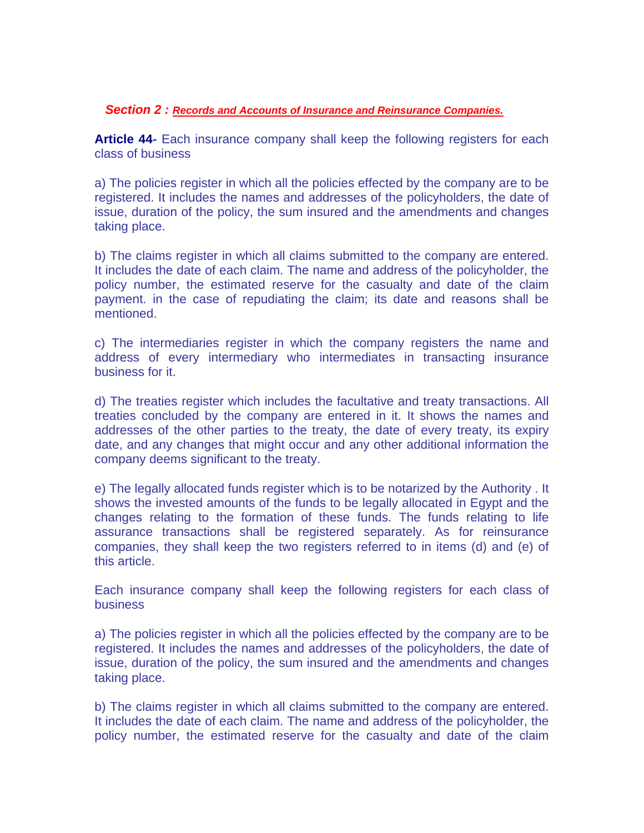#### *Section 2 : Records and Accounts of Insurance and Reinsurance Companies.*

**Article 44-** Each insurance company shall keep the following registers for each class of business

a) The policies register in which all the policies effected by the company are to be registered. It includes the names and addresses of the policyholders, the date of issue, duration of the policy, the sum insured and the amendments and changes taking place.

b) The claims register in which all claims submitted to the company are entered. It includes the date of each claim. The name and address of the policyholder, the policy number, the estimated reserve for the casualty and date of the claim payment. in the case of repudiating the claim; its date and reasons shall be mentioned.

c) The intermediaries register in which the company registers the name and address of every intermediary who intermediates in transacting insurance business for it.

d) The treaties register which includes the facultative and treaty transactions. All treaties concluded by the company are entered in it. It shows the names and addresses of the other parties to the treaty, the date of every treaty, its expiry date, and any changes that might occur and any other additional information the company deems significant to the treaty.

e) The legally allocated funds register which is to be notarized by the Authority . It shows the invested amounts of the funds to be legally allocated in Egypt and the changes relating to the formation of these funds. The funds relating to life assurance transactions shall be registered separately. As for reinsurance companies, they shall keep the two registers referred to in items (d) and (e) of this article.

Each insurance company shall keep the following registers for each class of business

a) The policies register in which all the policies effected by the company are to be registered. It includes the names and addresses of the policyholders, the date of issue, duration of the policy, the sum insured and the amendments and changes taking place.

b) The claims register in which all claims submitted to the company are entered. It includes the date of each claim. The name and address of the policyholder, the policy number, the estimated reserve for the casualty and date of the claim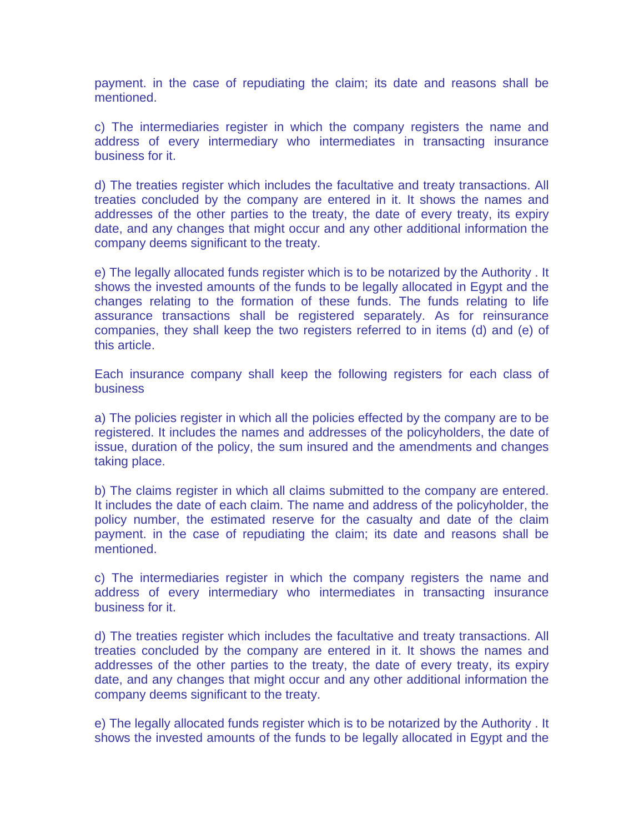payment. in the case of repudiating the claim; its date and reasons shall be mentioned.

c) The intermediaries register in which the company registers the name and address of every intermediary who intermediates in transacting insurance business for it.

d) The treaties register which includes the facultative and treaty transactions. All treaties concluded by the company are entered in it. It shows the names and addresses of the other parties to the treaty, the date of every treaty, its expiry date, and any changes that might occur and any other additional information the company deems significant to the treaty.

e) The legally allocated funds register which is to be notarized by the Authority . It shows the invested amounts of the funds to be legally allocated in Egypt and the changes relating to the formation of these funds. The funds relating to life assurance transactions shall be registered separately. As for reinsurance companies, they shall keep the two registers referred to in items (d) and (e) of this article.

Each insurance company shall keep the following registers for each class of business

a) The policies register in which all the policies effected by the company are to be registered. It includes the names and addresses of the policyholders, the date of issue, duration of the policy, the sum insured and the amendments and changes taking place.

b) The claims register in which all claims submitted to the company are entered. It includes the date of each claim. The name and address of the policyholder, the policy number, the estimated reserve for the casualty and date of the claim payment. in the case of repudiating the claim; its date and reasons shall be mentioned.

c) The intermediaries register in which the company registers the name and address of every intermediary who intermediates in transacting insurance business for it.

d) The treaties register which includes the facultative and treaty transactions. All treaties concluded by the company are entered in it. It shows the names and addresses of the other parties to the treaty, the date of every treaty, its expiry date, and any changes that might occur and any other additional information the company deems significant to the treaty.

e) The legally allocated funds register which is to be notarized by the Authority . It shows the invested amounts of the funds to be legally allocated in Egypt and the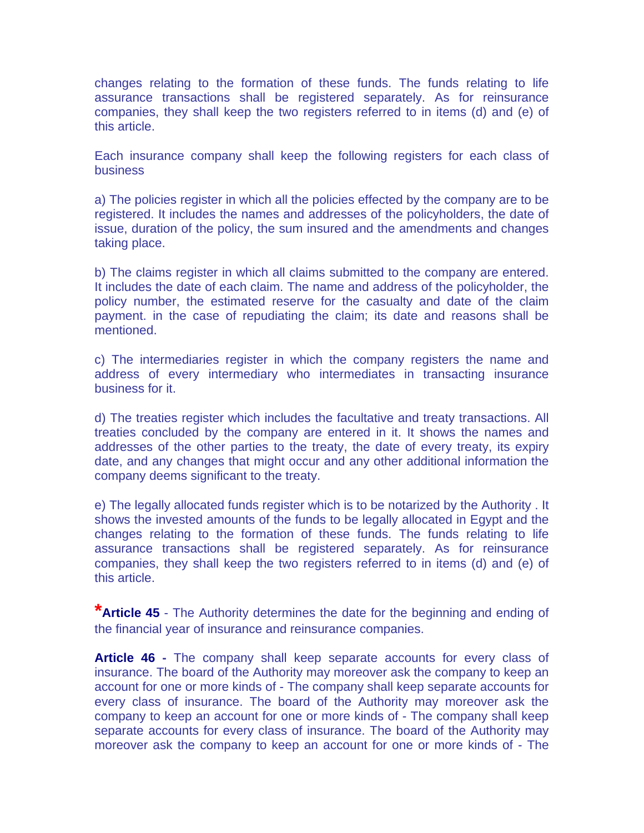changes relating to the formation of these funds. The funds relating to life assurance transactions shall be registered separately. As for reinsurance companies, they shall keep the two registers referred to in items (d) and (e) of this article.

Each insurance company shall keep the following registers for each class of business

a) The policies register in which all the policies effected by the company are to be registered. It includes the names and addresses of the policyholders, the date of issue, duration of the policy, the sum insured and the amendments and changes taking place.

b) The claims register in which all claims submitted to the company are entered. It includes the date of each claim. The name and address of the policyholder, the policy number, the estimated reserve for the casualty and date of the claim payment. in the case of repudiating the claim; its date and reasons shall be mentioned.

c) The intermediaries register in which the company registers the name and address of every intermediary who intermediates in transacting insurance business for it.

d) The treaties register which includes the facultative and treaty transactions. All treaties concluded by the company are entered in it. It shows the names and addresses of the other parties to the treaty, the date of every treaty, its expiry date, and any changes that might occur and any other additional information the company deems significant to the treaty.

e) The legally allocated funds register which is to be notarized by the Authority . It shows the invested amounts of the funds to be legally allocated in Egypt and the changes relating to the formation of these funds. The funds relating to life assurance transactions shall be registered separately. As for reinsurance companies, they shall keep the two registers referred to in items (d) and (e) of this article.

**\*Article 45** - The Authority determines the date for the beginning and ending of the financial year of insurance and reinsurance companies.

**Article 46 -** The company shall keep separate accounts for every class of insurance. The board of the Authority may moreover ask the company to keep an account for one or more kinds of - The company shall keep separate accounts for every class of insurance. The board of the Authority may moreover ask the company to keep an account for one or more kinds of - The company shall keep separate accounts for every class of insurance. The board of the Authority may moreover ask the company to keep an account for one or more kinds of - The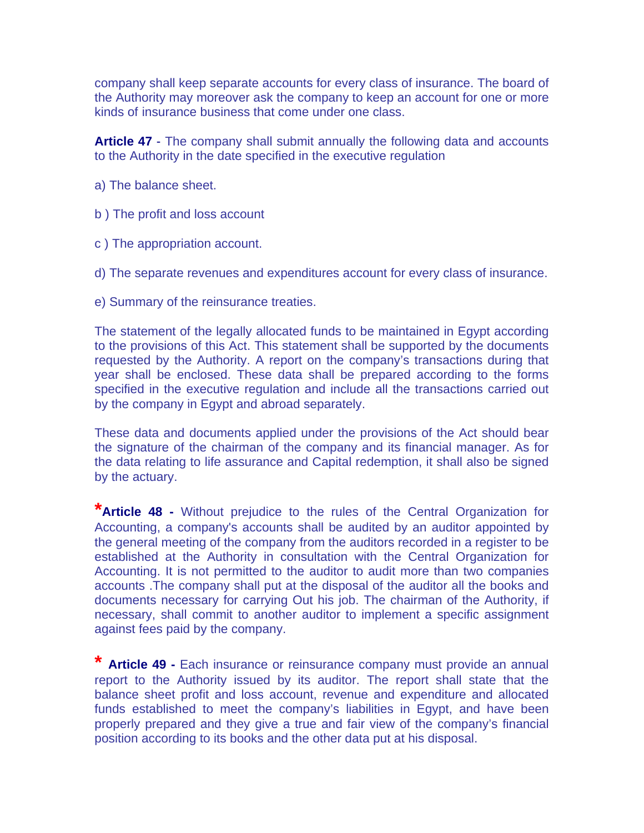company shall keep separate accounts for every class of insurance. The board of the Authority may moreover ask the company to keep an account for one or more kinds of insurance business that come under one class.

**Article 47** - The company shall submit annually the following data and accounts to the Authority in the date specified in the executive regulation

- a) The balance sheet.
- b ) The profit and loss account
- c ) The appropriation account.
- d) The separate revenues and expenditures account for every class of insurance.
- e) Summary of the reinsurance treaties.

The statement of the legally allocated funds to be maintained in Egypt according to the provisions of this Act. This statement shall be supported by the documents requested by the Authority. A report on the company's transactions during that year shall be enclosed. These data shall be prepared according to the forms specified in the executive regulation and include all the transactions carried out by the company in Egypt and abroad separately.

These data and documents applied under the provisions of the Act should bear the signature of the chairman of the company and its financial manager. As for the data relating to life assurance and Capital redemption, it shall also be signed by the actuary.

**\*Article 48 -** Without prejudice to the rules of the Central Organization for Accounting, a company's accounts shall be audited by an auditor appointed by the general meeting of the company from the auditors recorded in a register to be established at the Authority in consultation with the Central Organization for Accounting. It is not permitted to the auditor to audit more than two companies accounts .The company shall put at the disposal of the auditor all the books and documents necessary for carrying Out his job. The chairman of the Authority, if necessary, shall commit to another auditor to implement a specific assignment against fees paid by the company.

**\* Article 49 -** Each insurance or reinsurance company must provide an annual report to the Authority issued by its auditor. The report shall state that the balance sheet profit and loss account, revenue and expenditure and allocated funds established to meet the company's liabilities in Egypt, and have been properly prepared and they give a true and fair view of the company's financial position according to its books and the other data put at his disposal.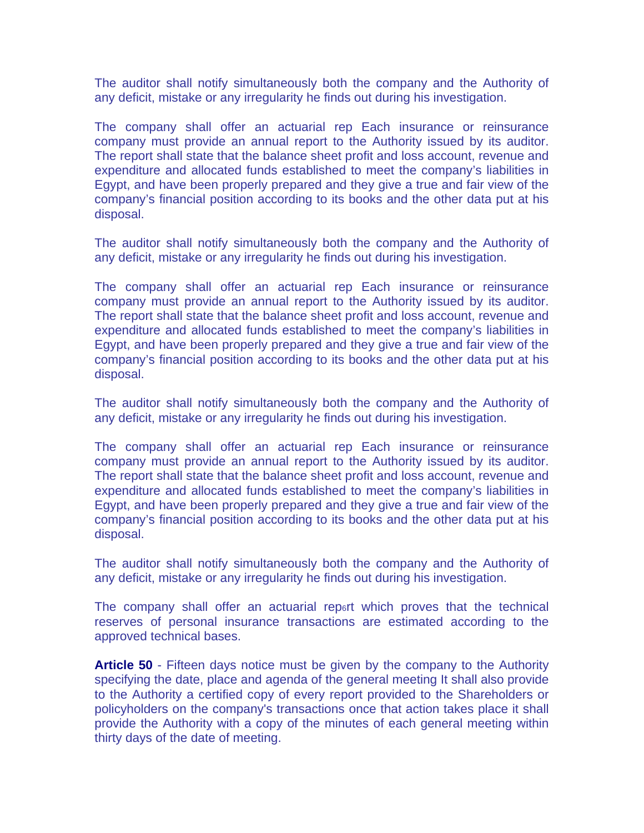The auditor shall notify simultaneously both the company and the Authority of any deficit, mistake or any irregularity he finds out during his investigation.

The company shall offer an actuarial rep Each insurance or reinsurance company must provide an annual report to the Authority issued by its auditor. The report shall state that the balance sheet profit and loss account, revenue and expenditure and allocated funds established to meet the company's liabilities in Egypt, and have been properly prepared and they give a true and fair view of the company's financial position according to its books and the other data put at his disposal.

The auditor shall notify simultaneously both the company and the Authority of any deficit, mistake or any irregularity he finds out during his investigation.

The company shall offer an actuarial rep Each insurance or reinsurance company must provide an annual report to the Authority issued by its auditor. The report shall state that the balance sheet profit and loss account, revenue and expenditure and allocated funds established to meet the company's liabilities in Egypt, and have been properly prepared and they give a true and fair view of the company's financial position according to its books and the other data put at his disposal.

The auditor shall notify simultaneously both the company and the Authority of any deficit, mistake or any irregularity he finds out during his investigation.

The company shall offer an actuarial rep Each insurance or reinsurance company must provide an annual report to the Authority issued by its auditor. The report shall state that the balance sheet profit and loss account, revenue and expenditure and allocated funds established to meet the company's liabilities in Egypt, and have been properly prepared and they give a true and fair view of the company's financial position according to its books and the other data put at his disposal.

The auditor shall notify simultaneously both the company and the Authority of any deficit, mistake or any irregularity he finds out during his investigation.

The company shall offer an actuarial rep<sub>6</sub>rt which proves that the technical reserves of personal insurance transactions are estimated according to the approved technical bases.

**Article 50** - Fifteen days notice must be given by the company to the Authority specifying the date, place and agenda of the general meeting It shall also provide to the Authority a certified copy of every report provided to the Shareholders or policyholders on the company's transactions once that action takes place it shall provide the Authority with a copy of the minutes of each general meeting within thirty days of the date of meeting.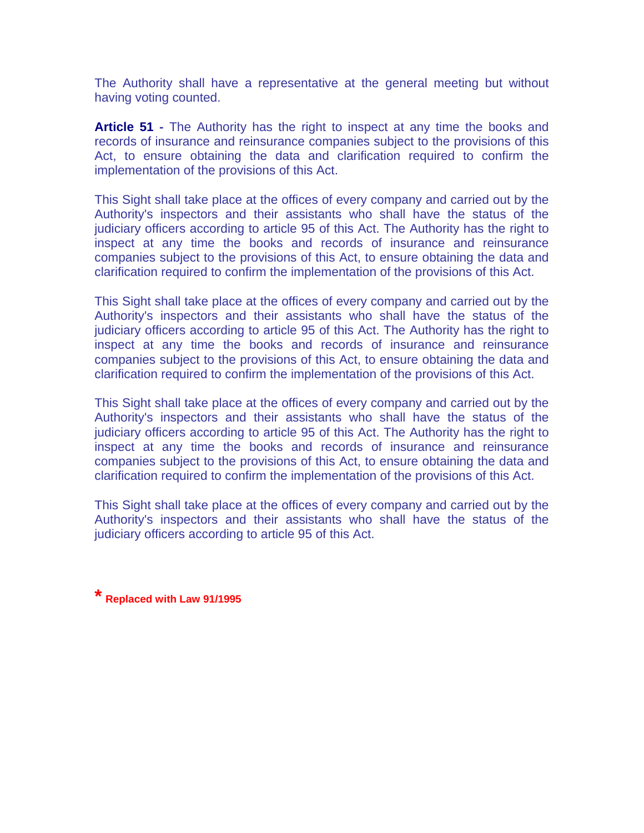The Authority shall have a representative at the general meeting but without having voting counted.

**Article 51 -** The Authority has the right to inspect at any time the books and records of insurance and reinsurance companies subject to the provisions of this Act, to ensure obtaining the data and clarification required to confirm the implementation of the provisions of this Act.

This Sight shall take place at the offices of every company and carried out by the Authority's inspectors and their assistants who shall have the status of the judiciary officers according to article 95 of this Act. The Authority has the right to inspect at any time the books and records of insurance and reinsurance companies subject to the provisions of this Act, to ensure obtaining the data and clarification required to confirm the implementation of the provisions of this Act.

This Sight shall take place at the offices of every company and carried out by the Authority's inspectors and their assistants who shall have the status of the judiciary officers according to article 95 of this Act. The Authority has the right to inspect at any time the books and records of insurance and reinsurance companies subject to the provisions of this Act, to ensure obtaining the data and clarification required to confirm the implementation of the provisions of this Act.

This Sight shall take place at the offices of every company and carried out by the Authority's inspectors and their assistants who shall have the status of the judiciary officers according to article 95 of this Act. The Authority has the right to inspect at any time the books and records of insurance and reinsurance companies subject to the provisions of this Act, to ensure obtaining the data and clarification required to confirm the implementation of the provisions of this Act.

This Sight shall take place at the offices of every company and carried out by the Authority's inspectors and their assistants who shall have the status of the judiciary officers according to article 95 of this Act.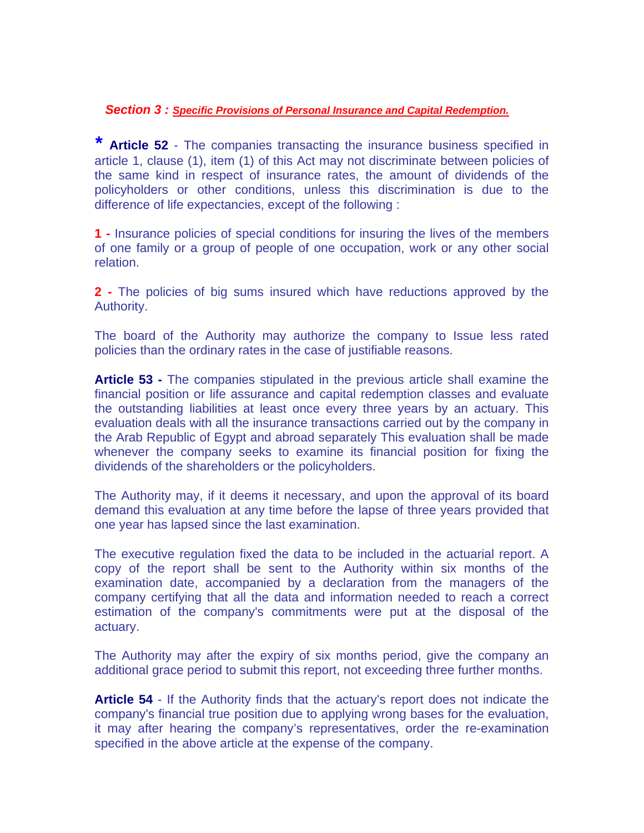### *Section 3 : Specific Provisions of Personal Insurance and Capital Redemption.*

*\** **Article 52** - The companies transacting the insurance business specified in article 1, clause (1), item (1) of this Act may not discriminate between policies of the same kind in respect of insurance rates, the amount of dividends of the policyholders or other conditions, unless this discrimination is due to the difference of life expectancies, except of the following :

**1 -** Insurance policies of special conditions for insuring the lives of the members of one family or a group of people of one occupation, work or any other social relation.

**2 -** The policies of big sums insured which have reductions approved by the Authority.

The board of the Authority may authorize the company to Issue less rated policies than the ordinary rates in the case of justifiable reasons.

**Article 53 -** The companies stipulated in the previous article shall examine the financial position or life assurance and capital redemption classes and evaluate the outstanding liabilities at least once every three years by an actuary. This evaluation deals with all the insurance transactions carried out by the company in the Arab Republic of Egypt and abroad separately This evaluation shall be made whenever the company seeks to examine its financial position for fixing the dividends of the shareholders or the policyholders.

The Authority may, if it deems it necessary, and upon the approval of its board demand this evaluation at any time before the lapse of three years provided that one year has lapsed since the last examination.

The executive regulation fixed the data to be included in the actuarial report. A copy of the report shall be sent to the Authority within six months of the examination date, accompanied by a declaration from the managers of the company certifying that all the data and information needed to reach a correct estimation of the company's commitments were put at the disposal of the actuary.

The Authority may after the expiry of six months period, give the company an additional grace period to submit this report, not exceeding three further months.

**Article 54** - If the Authority finds that the actuary's report does not indicate the company's financial true position due to applying wrong bases for the evaluation, it may after hearing the company's representatives, order the re-examination specified in the above article at the expense of the company.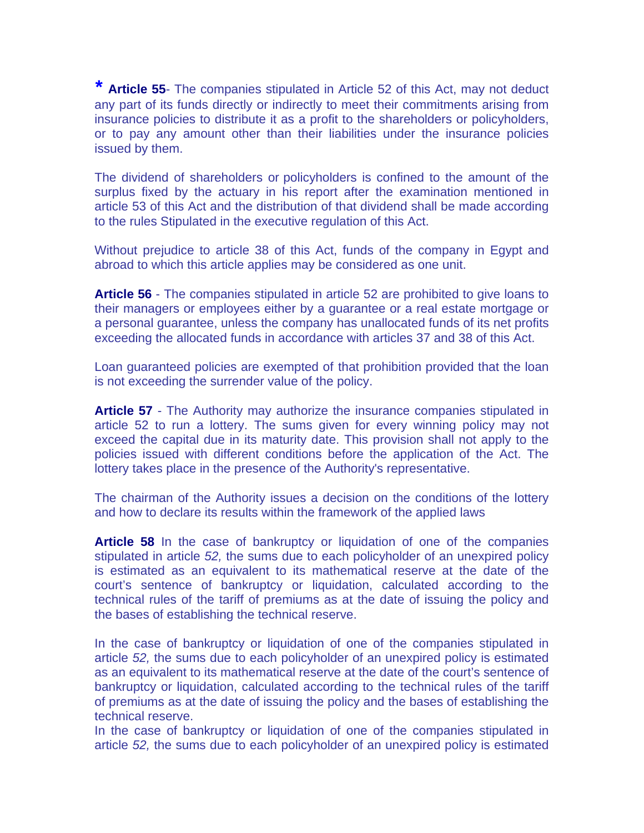*\** **Article 55**- The companies stipulated in Article 52 of this Act, may not deduct any part of its funds directly or indirectly to meet their commitments arising from insurance policies to distribute it as a profit to the shareholders or policyholders, or to pay any amount other than their liabilities under the insurance policies issued by them.

The dividend of shareholders or policyholders is confined to the amount of the surplus fixed by the actuary in his report after the examination mentioned in article 53 of this Act and the distribution of that dividend shall be made according to the rules Stipulated in the executive regulation of this Act.

Without prejudice to article 38 of this Act, funds of the company in Egypt and abroad to which this article applies may be considered as one unit.

**Article 56** - The companies stipulated in article 52 are prohibited to give loans to their managers or employees either by a guarantee or a real estate mortgage or a personal guarantee, unless the company has unallocated funds of its net profits exceeding the allocated funds in accordance with articles 37 and 38 of this Act.

Loan guaranteed policies are exempted of that prohibition provided that the loan is not exceeding the surrender value of the policy.

**Article 57** - The Authority may authorize the insurance companies stipulated in article 52 to run a lottery. The sums given for every winning policy may not exceed the capital due in its maturity date. This provision shall not apply to the policies issued with different conditions before the application of the Act. The lottery takes place in the presence of the Authority's representative.

The chairman of the Authority issues a decision on the conditions of the lottery and how to declare its results within the framework of the applied laws

**Article 58** In the case of bankruptcy or liquidation of one of the companies stipulated in article *52,* the sums due to each policyholder of an unexpired policy is estimated as an equivalent to its mathematical reserve at the date of the court's sentence of bankruptcy or liquidation, calculated according to the technical rules of the tariff of premiums as at the date of issuing the policy and the bases of establishing the technical reserve.

In the case of bankruptcy or liquidation of one of the companies stipulated in article *52,* the sums due to each policyholder of an unexpired policy is estimated as an equivalent to its mathematical reserve at the date of the court's sentence of bankruptcy or liquidation, calculated according to the technical rules of the tariff of premiums as at the date of issuing the policy and the bases of establishing the technical reserve.

In the case of bankruptcy or liquidation of one of the companies stipulated in article *52,* the sums due to each policyholder of an unexpired policy is estimated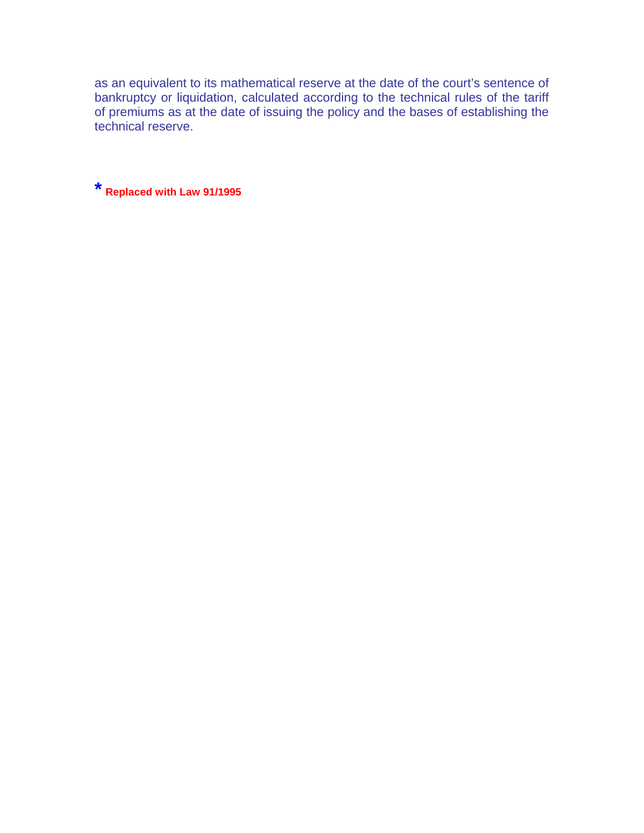as an equivalent to its mathematical reserve at the date of the court's sentence of bankruptcy or liquidation, calculated according to the technical rules of the tariff of premiums as at the date of issuing the policy and the bases of establishing the technical reserve.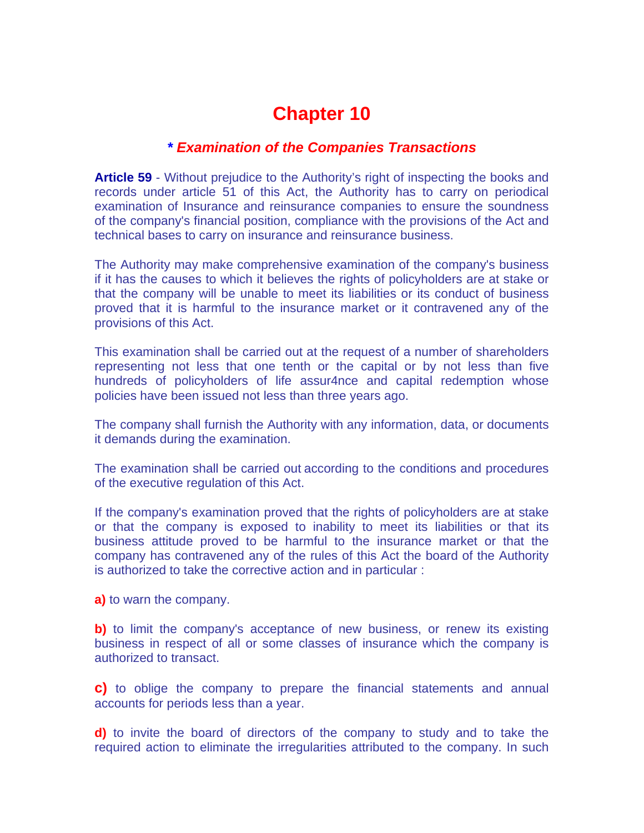### *\* Examination of the Companies Transactions*

**Article 59** - Without prejudice to the Authority's right of inspecting the books and records under article 51 of this Act, the Authority has to carry on periodical examination of Insurance and reinsurance companies to ensure the soundness of the company's financial position, compliance with the provisions of the Act and technical bases to carry on insurance and reinsurance business.

The Authority may make comprehensive examination of the company's business if it has the causes to which it believes the rights of policyholders are at stake or that the company will be unable to meet its liabilities or its conduct of business proved that it is harmful to the insurance market or it contravened any of the provisions of this Act.

This examination shall be carried out at the request of a number of shareholders representing not less that one tenth or the capital or by not less than five hundreds of policyholders of life assur4nce and capital redemption whose policies have been issued not less than three years ago.

The company shall furnish the Authority with any information, data, or documents it demands during the examination.

The examination shall be carried out according to the conditions and procedures of the executive regulation of this Act.

If the company's examination proved that the rights of policyholders are at stake or that the company is exposed to inability to meet its liabilities or that its business attitude proved to be harmful to the insurance market or that the company has contravened any of the rules of this Act the board of the Authority is authorized to take the corrective action and in particular :

**a)** to warn the company.

**b)** to limit the company's acceptance of new business, or renew its existing business in respect of all or some classes of insurance which the company is authorized to transact.

**c)** to oblige the company to prepare the financial statements and annual accounts for periods less than a year.

**d)** to invite the board of directors of the company to study and to take the required action to eliminate the irregularities attributed to the company. In such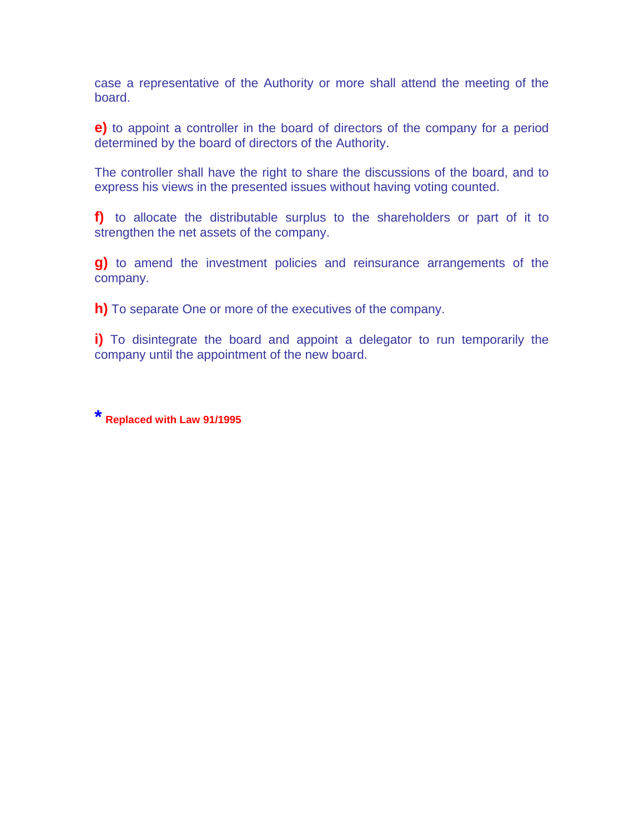case a representative of the Authority or more shall attend the meeting of the board.

**e)** to appoint a controller in the board of directors of the company for a period determined by the board of directors of the Authority.

The controller shall have the right to share the discussions of the board, and to express his views in the presented issues without having voting counted.

**f)** to allocate the distributable surplus to the shareholders or part of it to strengthen the net assets of the company.

**g)** to amend the investment policies and reinsurance arrangements of the company.

**h)** To separate One or more of the executives of the company.

**i**) To disintegrate the board and appoint a delegator to run temporarily the company until the appointment of the new board.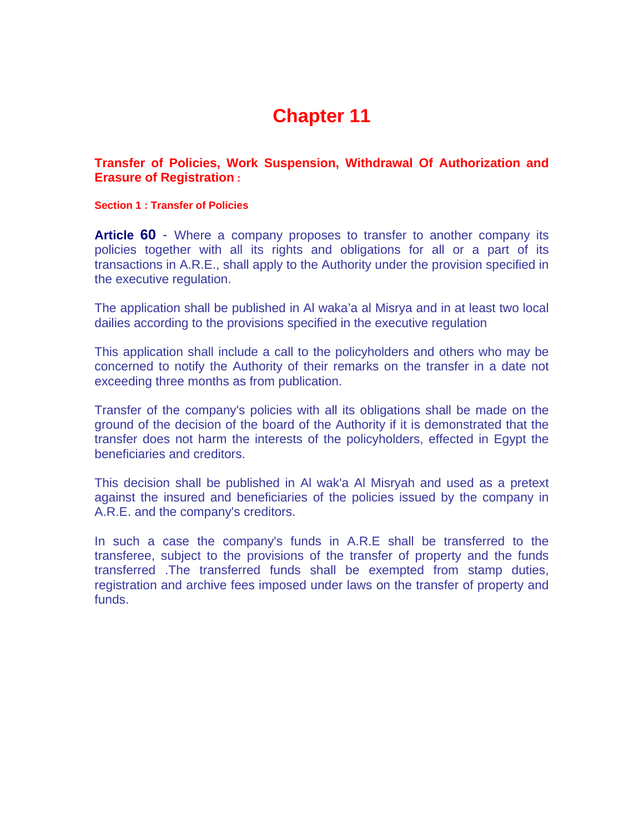**Transfer of Policies, Work Suspension, Withdrawal Of Authorization and Erasure of Registration :**

**Section 1 : Transfer of Policies** 

**Article 60** - Where a company proposes to transfer to another company its policies together with all its rights and obligations for all or a part of its transactions in A.R.E., shall apply to the Authority under the provision specified in the executive regulation.

The application shall be published in Al waka'a al Misrya and in at least two local dailies according to the provisions specified in the executive regulation

This application shall include a call to the policyholders and others who may be concerned to notify the Authority of their remarks on the transfer in a date not exceeding three months as from publication.

Transfer of the company's policies with all its obligations shall be made on the ground of the decision of the board of the Authority if it is demonstrated that the transfer does not harm the interests of the policyholders, effected in Egypt the beneficiaries and creditors.

This decision shall be published in Al wak'a Al Misryah and used as a pretext against the insured and beneficiaries of the policies issued by the company in A.R.E. and the company's creditors.

In such a case the company's funds in A.R.E shall be transferred to the transferee, subject to the provisions of the transfer of property and the funds transferred .The transferred funds shall be exempted from stamp duties, registration and archive fees imposed under laws on the transfer of property and funds.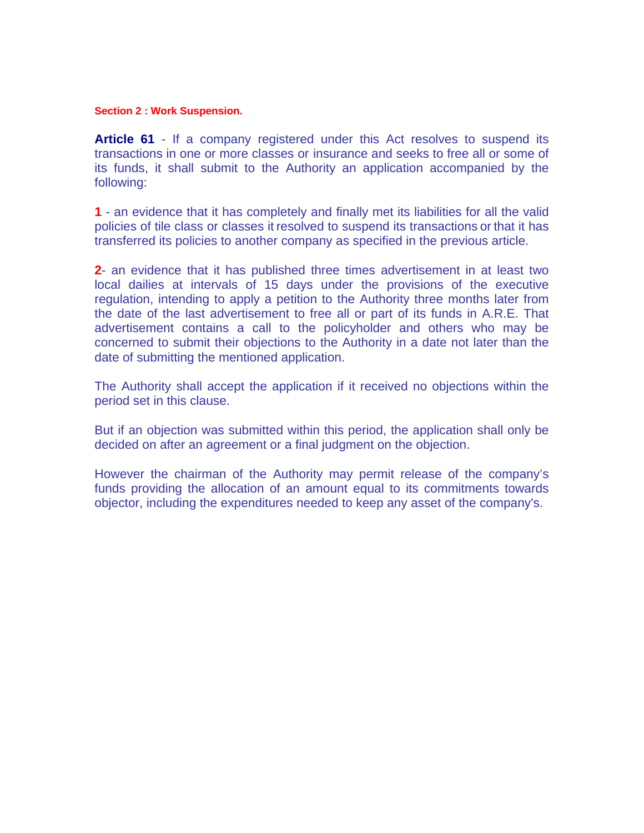#### **Section 2 : Work Suspension.**

**Article 61** - If a company registered under this Act resolves to suspend its transactions in one or more classes or insurance and seeks to free all or some of its funds, it shall submit to the Authority an application accompanied by the following:

**1** - an evidence that it has completely and finally met its liabilities for all the valid policies of tile class or classes it resolved to suspend its transactions or that it has transferred its policies to another company as specified in the previous article.

**2**- an evidence that it has published three times advertisement in at least two local dailies at intervals of 15 days under the provisions of the executive regulation, intending to apply a petition to the Authority three months later from the date of the last advertisement to free all or part of its funds in A.R.E. That advertisement contains a call to the policyholder and others who may be concerned to submit their objections to the Authority in a date not later than the date of submitting the mentioned application.

The Authority shall accept the application if it received no objections within the period set in this clause.

But if an objection was submitted within this period, the application shall only be decided on after an agreement or a final judgment on the objection.

However the chairman of the Authority may permit release of the company's funds providing the allocation of an amount equal to its commitments towards objector, including the expenditures needed to keep any asset of the company's.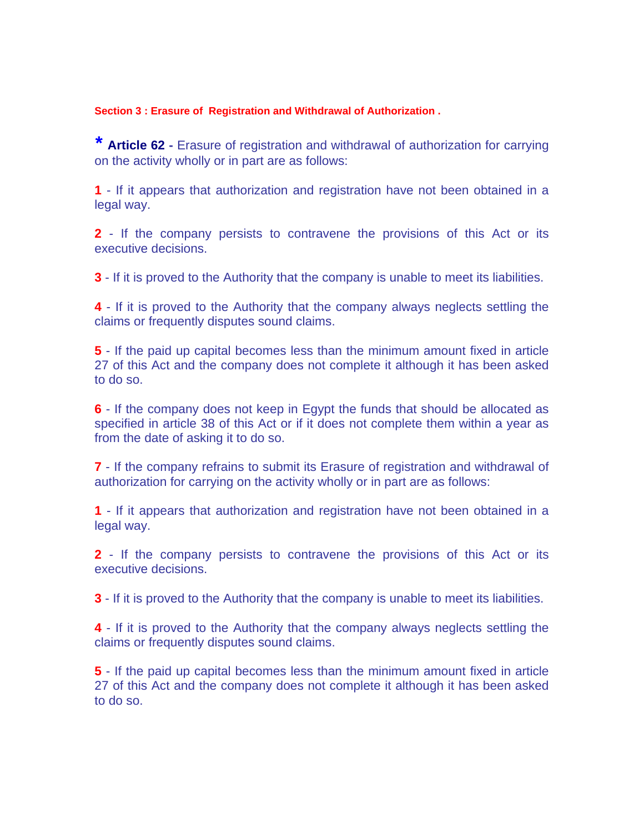#### **Section 3 : Erasure of Registration and Withdrawal of Authorization .**

*\** **Article 62 -** Erasure of registration and withdrawal of authorization for carrying on the activity wholly or in part are as follows:

**1** - If it appears that authorization and registration have not been obtained in a legal way.

**2** - If the company persists to contravene the provisions of this Act or its executive decisions.

**3** - If it is proved to the Authority that the company is unable to meet its liabilities.

**4** - If it is proved to the Authority that the company always neglects settling the claims or frequently disputes sound claims.

**5** - If the paid up capital becomes less than the minimum amount fixed in article 27 of this Act and the company does not complete it although it has been asked to do so.

**6** - If the company does not keep in Egypt the funds that should be allocated as specified in article 38 of this Act or if it does not complete them within a year as from the date of asking it to do so.

**7** - If the company refrains to submit its Erasure of registration and withdrawal of authorization for carrying on the activity wholly or in part are as follows:

**1** - If it appears that authorization and registration have not been obtained in a legal way.

**2** - If the company persists to contravene the provisions of this Act or its executive decisions.

**3** - If it is proved to the Authority that the company is unable to meet its liabilities.

**4** - If it is proved to the Authority that the company always neglects settling the claims or frequently disputes sound claims.

**5** - If the paid up capital becomes less than the minimum amount fixed in article 27 of this Act and the company does not complete it although it has been asked to do so.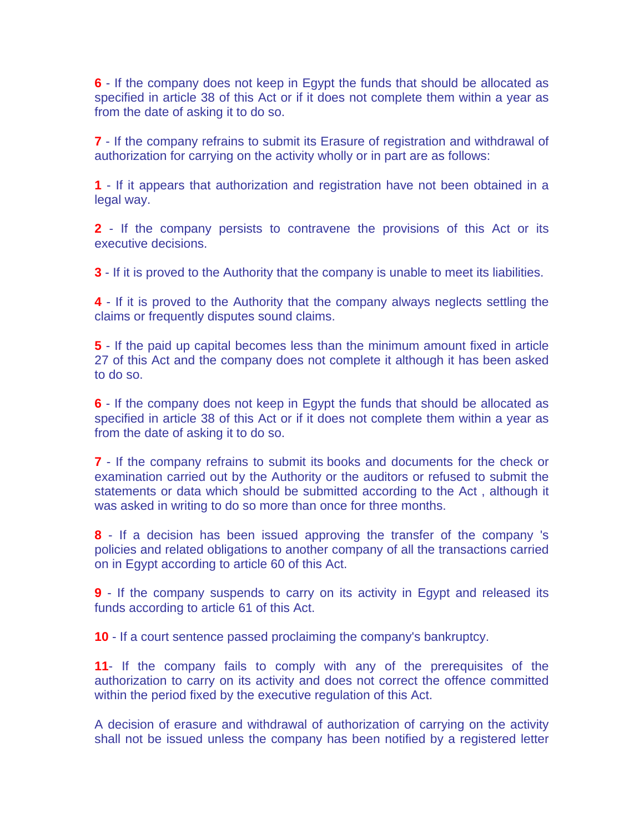**6** - If the company does not keep in Egypt the funds that should be allocated as specified in article 38 of this Act or if it does not complete them within a year as from the date of asking it to do so.

**7** - If the company refrains to submit its Erasure of registration and withdrawal of authorization for carrying on the activity wholly or in part are as follows:

**1** - If it appears that authorization and registration have not been obtained in a legal way.

**2** - If the company persists to contravene the provisions of this Act or its executive decisions.

**3** - If it is proved to the Authority that the company is unable to meet its liabilities.

**4** - If it is proved to the Authority that the company always neglects settling the claims or frequently disputes sound claims.

**5** - If the paid up capital becomes less than the minimum amount fixed in article 27 of this Act and the company does not complete it although it has been asked to do so.

**6** - If the company does not keep in Egypt the funds that should be allocated as specified in article 38 of this Act or if it does not complete them within a year as from the date of asking it to do so.

**7** - If the company refrains to submit its books and documents for the check or examination carried out by the Authority or the auditors or refused to submit the statements or data which should be submitted according to the Act , although it was asked in writing to do so more than once for three months.

**8** - If a decision has been issued approving the transfer of the company 's policies and related obligations to another company of all the transactions carried on in Egypt according to article 60 of this Act.

**9** - If the company suspends to carry on its activity in Egypt and released its funds according to article 61 of this Act.

**10** - If a court sentence passed proclaiming the company's bankruptcy.

**11**- If the company fails to comply with any of the prerequisites of the authorization to carry on its activity and does not correct the offence committed within the period fixed by the executive regulation of this Act.

A decision of erasure and withdrawal of authorization of carrying on the activity shall not be issued unless the company has been notified by a registered letter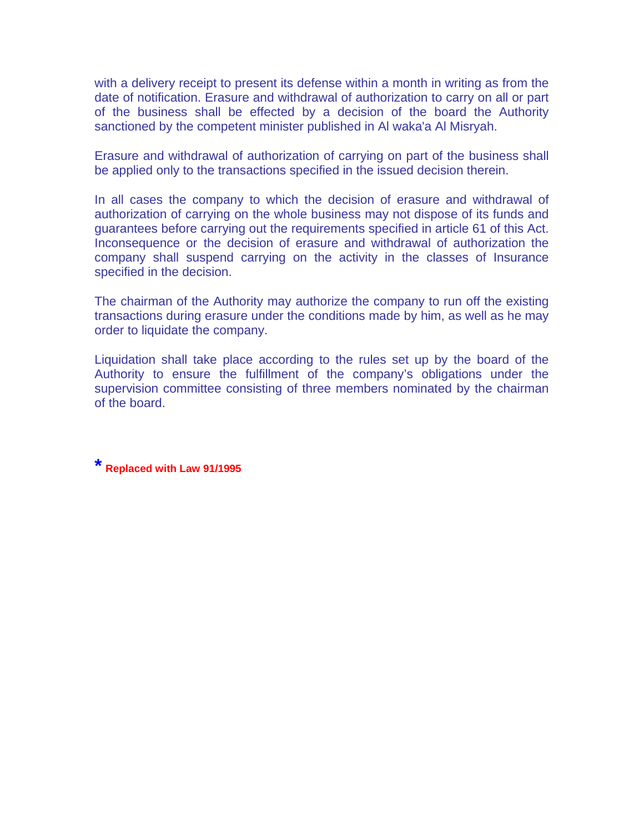with a delivery receipt to present its defense within a month in writing as from the date of notification. Erasure and withdrawal of authorization to carry on all or part of the business shall be effected by a decision of the board the Authority sanctioned by the competent minister published in Al waka'a Al Misryah.

Erasure and withdrawal of authorization of carrying on part of the business shall be applied only to the transactions specified in the issued decision therein.

In all cases the company to which the decision of erasure and withdrawal of authorization of carrying on the whole business may not dispose of its funds and guarantees before carrying out the requirements specified in article 61 of this Act. Inconsequence or the decision of erasure and withdrawal of authorization the company shall suspend carrying on the activity in the classes of Insurance specified in the decision.

The chairman of the Authority may authorize the company to run off the existing transactions during erasure under the conditions made by him, as well as he may order to liquidate the company.

Liquidation shall take place according to the rules set up by the board of the Authority to ensure the fulfillment of the company's obligations under the supervision committee consisting of three members nominated by the chairman of the board.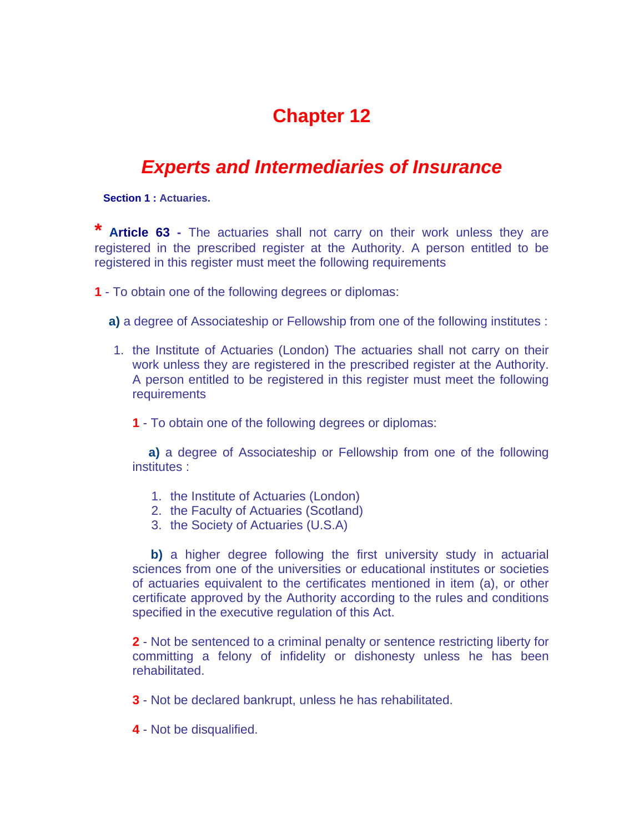## *Experts and Intermediaries of Insurance*

 **Section 1 : Actuaries.** 

Article 63 - The actuaries shall not carry on their work unless they are registered in the prescribed register at the Authority. A person entitled to be registered in this register must meet the following requirements

**1** - To obtain one of the following degrees or diplomas:

**a)** a degree of Associateship or Fellowship from one of the following institutes :

- 1. the Institute of Actuaries (London) The actuaries shall not carry on their work unless they are registered in the prescribed register at the Authority. A person entitled to be registered in this register must meet the following **requirements** 
	- **1** To obtain one of the following degrees or diplomas:

 **a)** a degree of Associateship or Fellowship from one of the following institutes :

- 1. the Institute of Actuaries (London)
- 2. the Faculty of Actuaries (Scotland)
- 3. the Society of Actuaries (U.S.A)

**b)** a higher degree following the first university study in actuarial sciences from one of the universities or educational institutes or societies of actuaries equivalent to the certificates mentioned in item (a), or other certificate approved by the Authority according to the rules and conditions specified in the executive regulation of this Act.

**2** - Not be sentenced to a criminal penalty or sentence restricting liberty for committing a felony of infidelity or dishonesty unless he has been rehabilitated.

**3** - Not be declared bankrupt, unless he has rehabilitated.

**4** - Not be disqualified.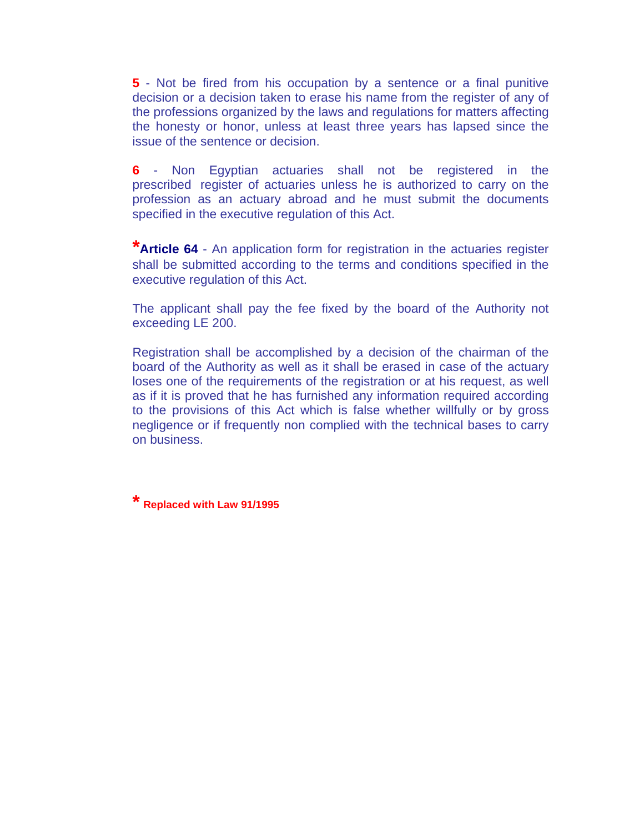**5** - Not be fired from his occupation by a sentence or a final punitive decision or a decision taken to erase his name from the register of any of the professions organized by the laws and regulations for matters affecting the honesty or honor, unless at least three years has lapsed since the issue of the sentence or decision.

**6** - Non Egyptian actuaries shall not be registered in the prescribed register of actuaries unless he is authorized to carry on the profession as an actuary abroad and he must submit the documents specified in the executive regulation of this Act.

**\*Article 64** - An application form for registration in the actuaries register shall be submitted according to the terms and conditions specified in the executive regulation of this Act.

The applicant shall pay the fee fixed by the board of the Authority not exceeding LE 200.

Registration shall be accomplished by a decision of the chairman of the board of the Authority as well as it shall be erased in case of the actuary loses one of the requirements of the registration or at his request, as well as if it is proved that he has furnished any information required according to the provisions of this Act which is false whether willfully or by gross negligence or if frequently non complied with the technical bases to carry on business.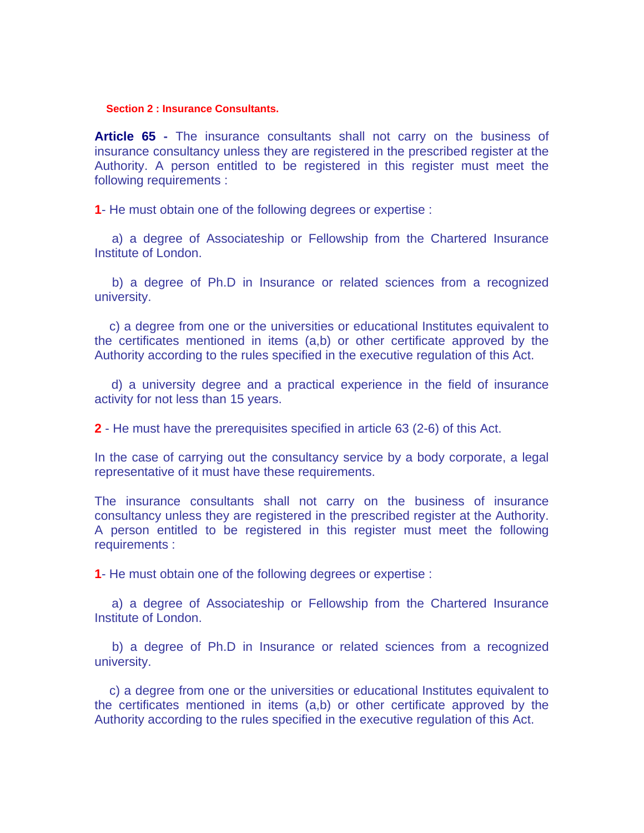#### **Section 2 : Insurance Consultants.**

**Article 65 -** The insurance consultants shall not carry on the business of insurance consultancy unless they are registered in the prescribed register at the Authority. A person entitled to be registered in this register must meet the following requirements :

**1**- He must obtain one of the following degrees or expertise :

 a) a degree of Associateship or Fellowship from the Chartered Insurance Institute of London.

 b) a degree of Ph.D in Insurance or related sciences from a recognized university.

 c) a degree from one or the universities or educational Institutes equivalent to the certificates mentioned in items (a,b) or other certificate approved by the Authority according to the rules specified in the executive regulation of this Act.

 d) a university degree and a practical experience in the field of insurance activity for not less than 15 years.

**2** - He must have the prerequisites specified in article 63 (2-6) of this Act.

In the case of carrying out the consultancy service by a body corporate, a legal representative of it must have these requirements.

The insurance consultants shall not carry on the business of insurance consultancy unless they are registered in the prescribed register at the Authority. A person entitled to be registered in this register must meet the following requirements :

**1**- He must obtain one of the following degrees or expertise :

 a) a degree of Associateship or Fellowship from the Chartered Insurance Institute of London.

 b) a degree of Ph.D in Insurance or related sciences from a recognized university.

 c) a degree from one or the universities or educational Institutes equivalent to the certificates mentioned in items (a,b) or other certificate approved by the Authority according to the rules specified in the executive regulation of this Act.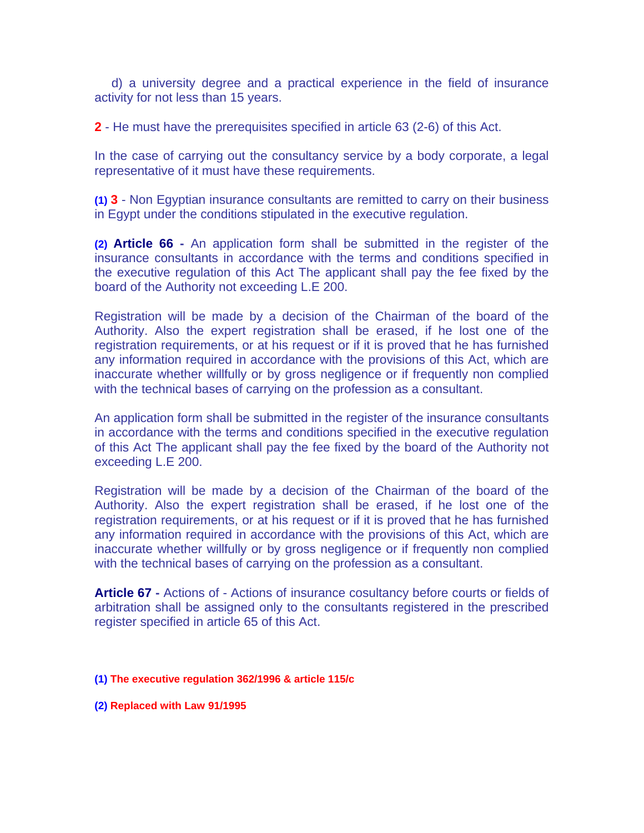d) a university degree and a practical experience in the field of insurance activity for not less than 15 years.

**2** - He must have the prerequisites specified in article 63 (2-6) of this Act.

In the case of carrying out the consultancy service by a body corporate, a legal representative of it must have these requirements.

**(1) 3** - Non Egyptian insurance consultants are remitted to carry on their business in Egypt under the conditions stipulated in the executive regulation.

**(2) Article 66 -** An application form shall be submitted in the register of the insurance consultants in accordance with the terms and conditions specified in the executive regulation of this Act The applicant shall pay the fee fixed by the board of the Authority not exceeding L.E 200.

Registration will be made by a decision of the Chairman of the board of the Authority. Also the expert registration shall be erased, if he lost one of the registration requirements, or at his request or if it is proved that he has furnished any information required in accordance with the provisions of this Act, which are inaccurate whether willfully or by gross negligence or if frequently non complied with the technical bases of carrying on the profession as a consultant.

An application form shall be submitted in the register of the insurance consultants in accordance with the terms and conditions specified in the executive regulation of this Act The applicant shall pay the fee fixed by the board of the Authority not exceeding L.E 200.

Registration will be made by a decision of the Chairman of the board of the Authority. Also the expert registration shall be erased, if he lost one of the registration requirements, or at his request or if it is proved that he has furnished any information required in accordance with the provisions of this Act, which are inaccurate whether willfully or by gross negligence or if frequently non complied with the technical bases of carrying on the profession as a consultant.

**Article 67 -** Actions of - Actions of insurance cosultancy before courts or fields of arbitration shall be assigned only to the consultants registered in the prescribed register specified in article 65 of this Act.

#### **(1) The executive regulation 362/1996 & article 115/c**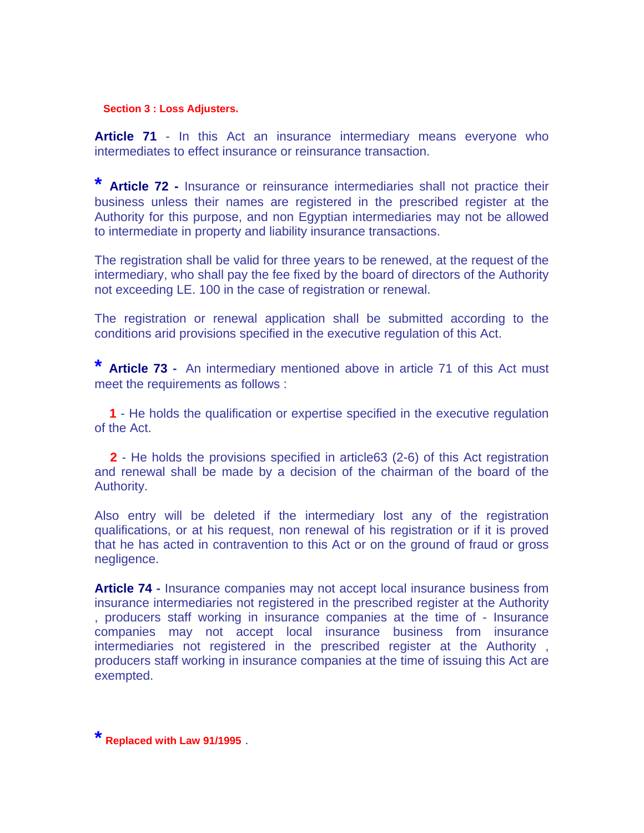#### **Section 3 : Loss Adjusters.**

Article 71 - In this Act an insurance intermediary means everyone who intermediates to effect insurance or reinsurance transaction.

**\* Article 72 -** Insurance or reinsurance intermediaries shall not practice their business unless their names are registered in the prescribed register at the Authority for this purpose, and non Egyptian intermediaries may not be allowed to intermediate in property and liability insurance transactions.

The registration shall be valid for three years to be renewed, at the request of the intermediary, who shall pay the fee fixed by the board of directors of the Authority not exceeding LE. 100 in the case of registration or renewal.

The registration or renewal application shall be submitted according to the conditions arid provisions specified in the executive regulation of this Act.

**\* Article 73 -** An intermediary mentioned above in article 71 of this Act must meet the requirements as follows :

 **1** - He holds the qualification or expertise specified in the executive regulation of the Act.

 **2** - He holds the provisions specified in article63 (2-6) of this Act registration and renewal shall be made by a decision of the chairman of the board of the Authority.

Also entry will be deleted if the intermediary lost any of the registration qualifications, or at his request, non renewal of his registration or if it is proved that he has acted in contravention to this Act or on the ground of fraud or gross negligence.

**Article 74 -** Insurance companies may not accept local insurance business from insurance intermediaries not registered in the prescribed register at the Authority , producers staff working in insurance companies at the time of - Insurance companies may not accept local insurance business from insurance intermediaries not registered in the prescribed register at the Authority , producers staff working in insurance companies at the time of issuing this Act are exempted.

**\* Replaced with Law 91/1995** .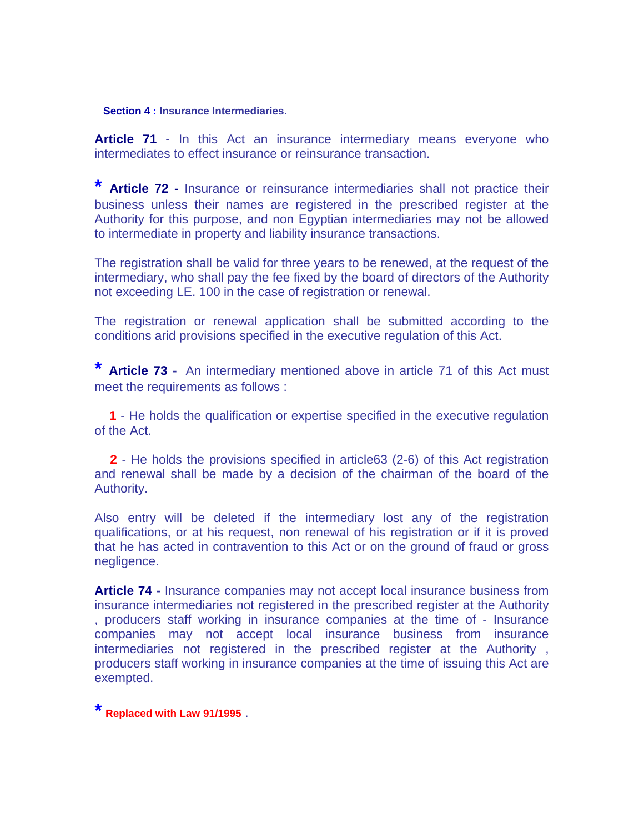#### **Section 4 : Insurance Intermediaries.**

Article 71 - In this Act an insurance intermediary means everyone who intermediates to effect insurance or reinsurance transaction.

**\* Article 72 -** Insurance or reinsurance intermediaries shall not practice their business unless their names are registered in the prescribed register at the Authority for this purpose, and non Egyptian intermediaries may not be allowed to intermediate in property and liability insurance transactions.

The registration shall be valid for three years to be renewed, at the request of the intermediary, who shall pay the fee fixed by the board of directors of the Authority not exceeding LE. 100 in the case of registration or renewal.

The registration or renewal application shall be submitted according to the conditions arid provisions specified in the executive regulation of this Act.

**\* Article 73 -** An intermediary mentioned above in article 71 of this Act must meet the requirements as follows :

 **1** - He holds the qualification or expertise specified in the executive regulation of the Act.

 **2** - He holds the provisions specified in article63 (2-6) of this Act registration and renewal shall be made by a decision of the chairman of the board of the Authority.

Also entry will be deleted if the intermediary lost any of the registration qualifications, or at his request, non renewal of his registration or if it is proved that he has acted in contravention to this Act or on the ground of fraud or gross negligence.

**Article 74 -** Insurance companies may not accept local insurance business from insurance intermediaries not registered in the prescribed register at the Authority , producers staff working in insurance companies at the time of - Insurance companies may not accept local insurance business from insurance intermediaries not registered in the prescribed register at the Authority , producers staff working in insurance companies at the time of issuing this Act are exempted.

**\* Replaced with Law 91/1995** .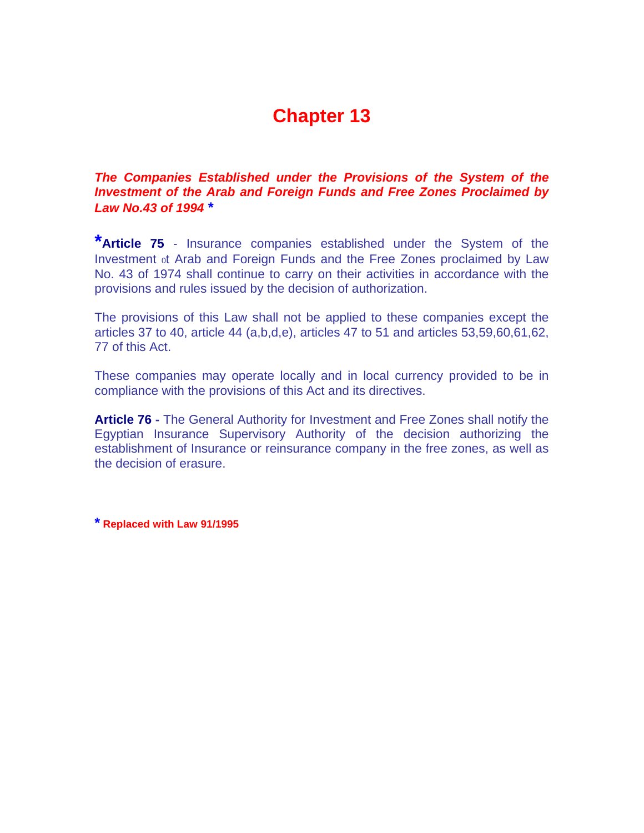### *The Companies Established under the Provisions of the System of the Investment of the Arab and Foreign Funds and Free Zones Proclaimed by Law No.43 of 1994 \**

**\*Article 75** - Insurance companies established under the System of the Investment 0t Arab and Foreign Funds and the Free Zones proclaimed by Law No. 43 of 1974 shall continue to carry on their activities in accordance with the provisions and rules issued by the decision of authorization.

The provisions of this Law shall not be applied to these companies except the articles 37 to 40, article 44 (a,b,d,e), articles 47 to 51 and articles 53,59,60,61,62, 77 of this Act.

These companies may operate locally and in local currency provided to be in compliance with the provisions of this Act and its directives.

**Article 76 -** The General Authority for Investment and Free Zones shall notify the Egyptian Insurance Supervisory Authority of the decision authorizing the establishment of Insurance or reinsurance company in the free zones, as well as the decision of erasure.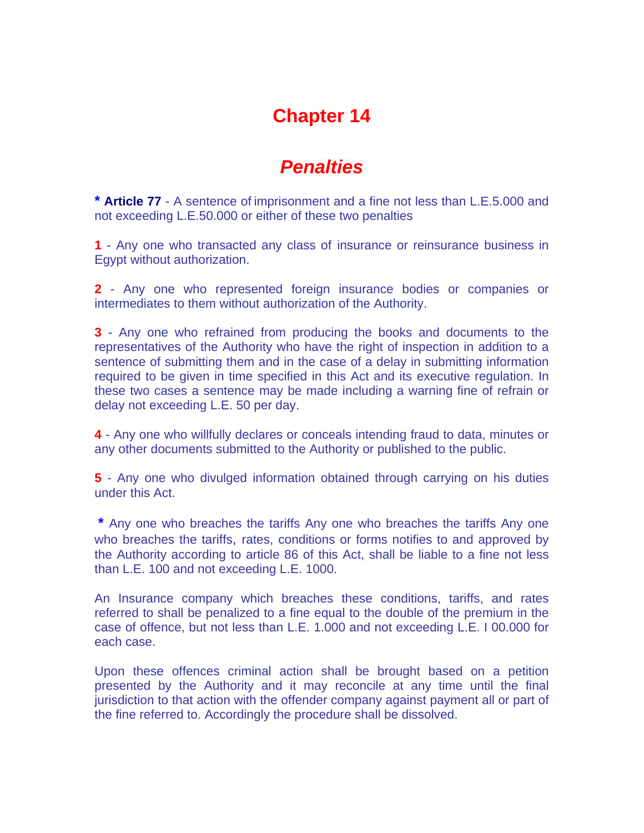## *Penalties*

**\* Article 77** - A sentence of imprisonment and a fine not less than L.E.5.000 and not exceeding L.E.50.000 or either of these two penalties

**1** - Any one who transacted any class of insurance or reinsurance business in Egypt without authorization.

**2** - Any one who represented foreign insurance bodies or companies or intermediates to them without authorization of the Authority.

**3** - Any one who refrained from producing the books and documents to the representatives of the Authority who have the right of inspection in addition to a sentence of submitting them and in the case of a delay in submitting information required to be given in time specified in this Act and its executive regulation. In these two cases a sentence may be made including a warning fine of refrain or delay not exceeding L.E. 50 per day.

**4** - Any one who willfully declares or conceals intending fraud to data, minutes or any other documents submitted to the Authority or published to the public.

**5** - Any one who divulged information obtained through carrying on his duties under this Act.

**\*** Any one who breaches the tariffs Any one who breaches the tariffs Any one who breaches the tariffs, rates, conditions or forms notifies to and approved by the Authority according to article 86 of this Act, shall be liable to a fine not less than L.E. 100 and not exceeding L.E. 1000.

An Insurance company which breaches these conditions, tariffs, and rates referred to shall be penalized to a fine equal to the double of the premium in the case of offence, but not less than L.E. 1.000 and not exceeding L.E. I 00.000 for each case.

Upon these offences criminal action shall be brought based on a petition presented by the Authority and it may reconcile at any time until the final jurisdiction to that action with the offender company against payment all or part of the fine referred to. Accordingly the procedure shall be dissolved.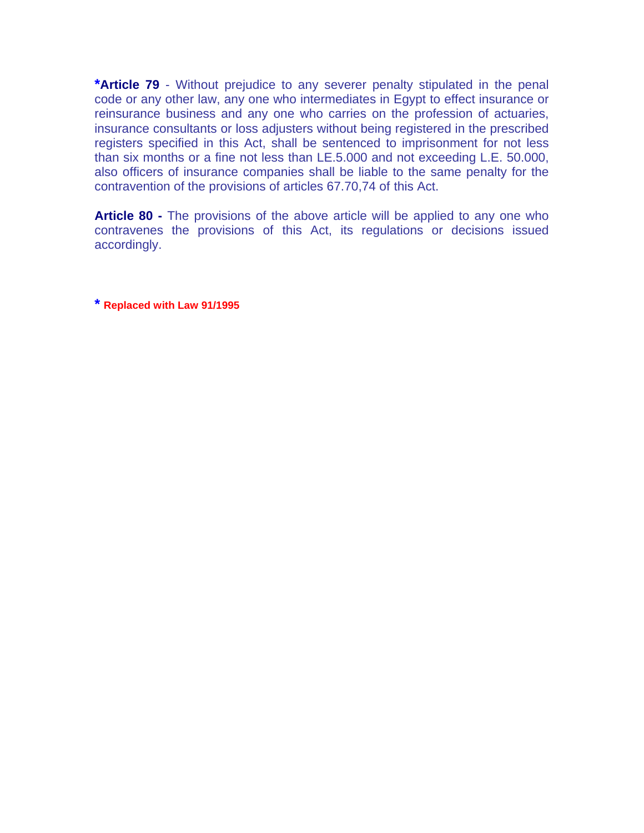**\*Article 79** - Without prejudice to any severer penalty stipulated in the penal code or any other law, any one who intermediates in Egypt to effect insurance or reinsurance business and any one who carries on the profession of actuaries, insurance consultants or loss adjusters without being registered in the prescribed registers specified in this Act, shall be sentenced to imprisonment for not less than six months or a fine not less than LE.5.000 and not exceeding L.E. 50.000, also officers of insurance companies shall be liable to the same penalty for the contravention of the provisions of articles 67.70,74 of this Act.

**Article 80 -** The provisions of the above article will be applied to any one who contravenes the provisions of this Act, its regulations or decisions issued accordingly.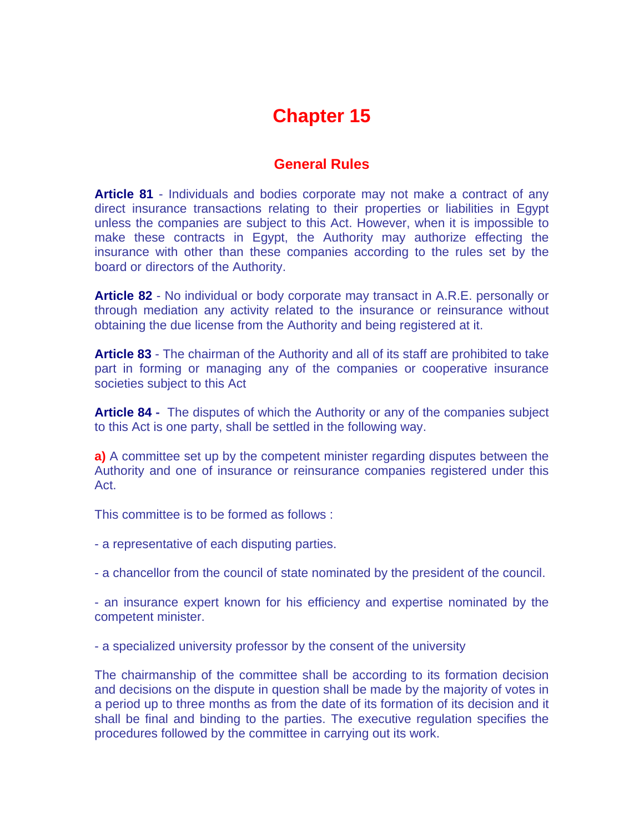### **General Rules**

**Article 81** - Individuals and bodies corporate may not make a contract of any direct insurance transactions relating to their properties or liabilities in Egypt unless the companies are subject to this Act. However, when it is impossible to make these contracts in Egypt, the Authority may authorize effecting the insurance with other than these companies according to the rules set by the board or directors of the Authority.

**Article 82** - No individual or body corporate may transact in A.R.E. personally or through mediation any activity related to the insurance or reinsurance without obtaining the due license from the Authority and being registered at it.

**Article 83** - The chairman of the Authority and all of its staff are prohibited to take part in forming or managing any of the companies or cooperative insurance societies subject to this Act

**Article 84 -** The disputes of which the Authority or any of the companies subject to this Act is one party, shall be settled in the following way.

**a)** A committee set up by the competent minister regarding disputes between the Authority and one of insurance or reinsurance companies registered under this Act.

This committee is to be formed as follows :

- a representative of each disputing parties.

- a chancellor from the council of state nominated by the president of the council.

- an insurance expert known for his efficiency and expertise nominated by the competent minister.

- a specialized university professor by the consent of the university

The chairmanship of the committee shall be according to its formation decision and decisions on the dispute in question shall be made by the majority of votes in a period up to three months as from the date of its formation of its decision and it shall be final and binding to the parties. The executive regulation specifies the procedures followed by the committee in carrying out its work.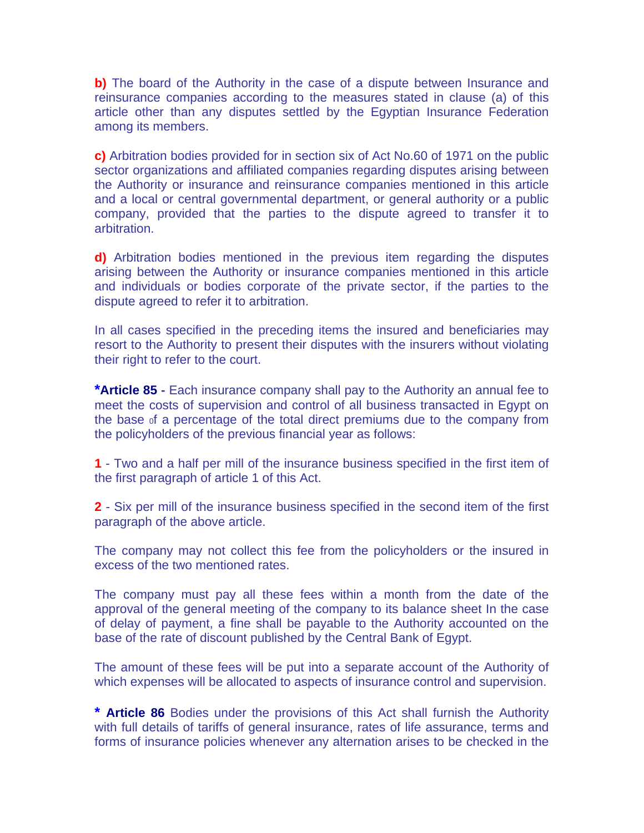**b)** The board of the Authority in the case of a dispute between Insurance and reinsurance companies according to the measures stated in clause (a) of this article other than any disputes settled by the Egyptian Insurance Federation among its members.

**c)** Arbitration bodies provided for in section six of Act No.60 of 1971 on the public sector organizations and affiliated companies regarding disputes arising between the Authority or insurance and reinsurance companies mentioned in this article and a local or central governmental department, or general authority or a public company, provided that the parties to the dispute agreed to transfer it to arbitration.

**d)** Arbitration bodies mentioned in the previous item regarding the disputes arising between the Authority or insurance companies mentioned in this article and individuals or bodies corporate of the private sector, if the parties to the dispute agreed to refer it to arbitration.

In all cases specified in the preceding items the insured and beneficiaries may resort to the Authority to present their disputes with the insurers without violating their right to refer to the court.

**\*Article 85 -** Each insurance company shall pay to the Authority an annual fee to meet the costs of supervision and control of all business transacted in Egypt on the base 0f a percentage of the total direct premiums due to the company from the policyholders of the previous financial year as follows:

**1** - Two and a half per mill of the insurance business specified in the first item of the first paragraph of article 1 of this Act.

**2** - Six per mill of the insurance business specified in the second item of the first paragraph of the above article.

The company may not collect this fee from the policyholders or the insured in excess of the two mentioned rates.

The company must pay all these fees within a month from the date of the approval of the general meeting of the company to its balance sheet In the case of delay of payment, a fine shall be payable to the Authority accounted on the base of the rate of discount published by the Central Bank of Egypt.

The amount of these fees will be put into a separate account of the Authority of which expenses will be allocated to aspects of insurance control and supervision.

**\* Article 86** Bodies under the provisions of this Act shall furnish the Authority with full details of tariffs of general insurance, rates of life assurance, terms and forms of insurance policies whenever any alternation arises to be checked in the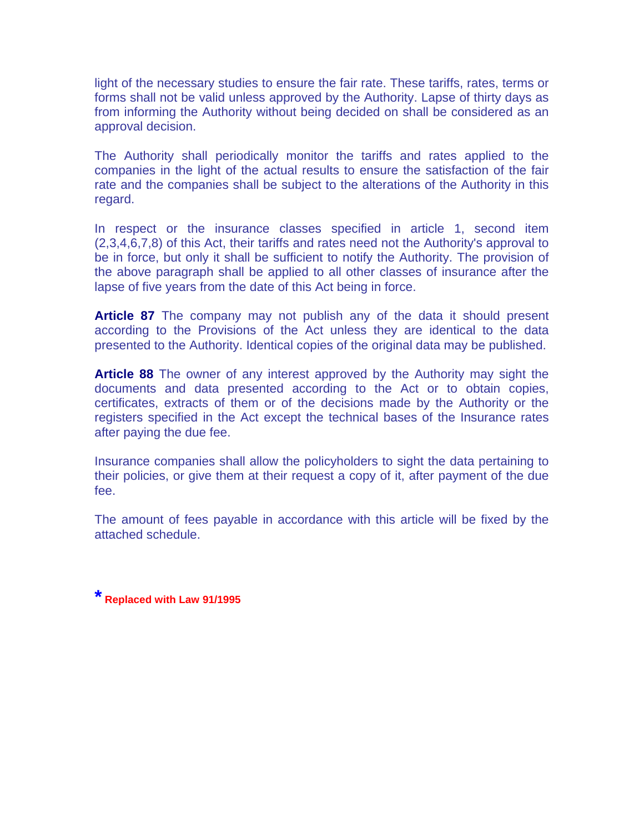light of the necessary studies to ensure the fair rate. These tariffs, rates, terms or forms shall not be valid unless approved by the Authority. Lapse of thirty days as from informing the Authority without being decided on shall be considered as an approval decision.

The Authority shall periodically monitor the tariffs and rates applied to the companies in the light of the actual results to ensure the satisfaction of the fair rate and the companies shall be subject to the alterations of the Authority in this regard.

In respect or the insurance classes specified in article 1, second item (2,3,4,6,7,8) of this Act, their tariffs and rates need not the Authority's approval to be in force, but only it shall be sufficient to notify the Authority. The provision of the above paragraph shall be applied to all other classes of insurance after the lapse of five years from the date of this Act being in force.

**Article 87** The company may not publish any of the data it should present according to the Provisions of the Act unless they are identical to the data presented to the Authority. Identical copies of the original data may be published.

**Article 88** The owner of any interest approved by the Authority may sight the documents and data presented according to the Act or to obtain copies, certificates, extracts of them or of the decisions made by the Authority or the registers specified in the Act except the technical bases of the Insurance rates after paying the due fee.

Insurance companies shall allow the policyholders to sight the data pertaining to their policies, or give them at their request a copy of it, after payment of the due fee.

The amount of fees payable in accordance with this article will be fixed by the attached schedule.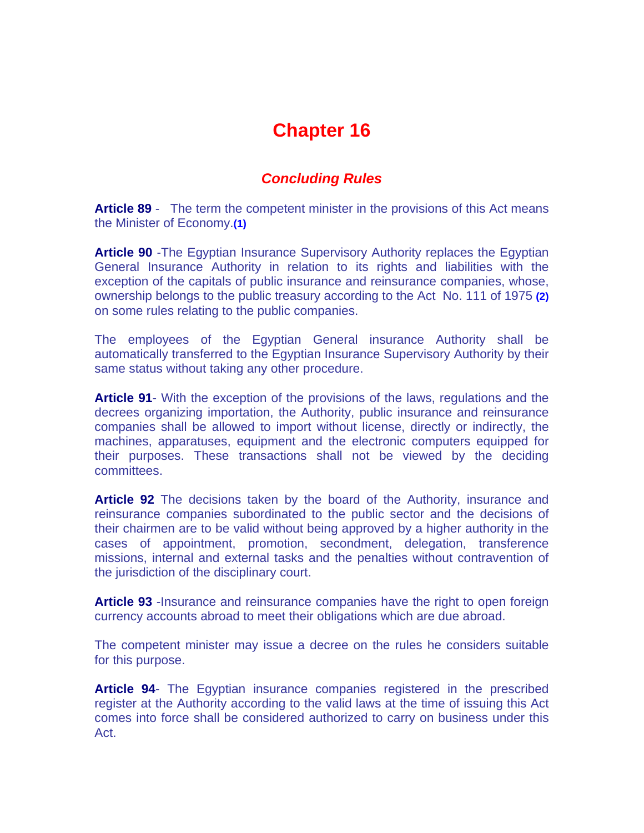### *Concluding Rules*

**Article 89** - The term the competent minister in the provisions of this Act means the Minister of Economy.**(1)**

**Article 90** -The Egyptian Insurance Supervisory Authority replaces the Egyptian General Insurance Authority in relation to its rights and liabilities with the exception of the capitals of public insurance and reinsurance companies, whose, ownership belongs to the public treasury according to the Act No. 111 of 1975 **(2)** on some rules relating to the public companies.

The employees of the Egyptian General insurance Authority shall be automatically transferred to the Egyptian Insurance Supervisory Authority by their same status without taking any other procedure.

**Article 91**- With the exception of the provisions of the laws, regulations and the decrees organizing importation, the Authority, public insurance and reinsurance companies shall be allowed to import without license, directly or indirectly, the machines, apparatuses, equipment and the electronic computers equipped for their purposes. These transactions shall not be viewed by the deciding committees.

**Article 92** The decisions taken by the board of the Authority, insurance and reinsurance companies subordinated to the public sector and the decisions of their chairmen are to be valid without being approved by a higher authority in the cases of appointment, promotion, secondment, delegation, transference missions, internal and external tasks and the penalties without contravention of the jurisdiction of the disciplinary court.

**Article 93** -Insurance and reinsurance companies have the right to open foreign currency accounts abroad to meet their obligations which are due abroad.

The competent minister may issue a decree on the rules he considers suitable for this purpose.

**Article 94**- The Egyptian insurance companies registered in the prescribed register at the Authority according to the valid laws at the time of issuing this Act comes into force shall be considered authorized to carry on business under this Act.